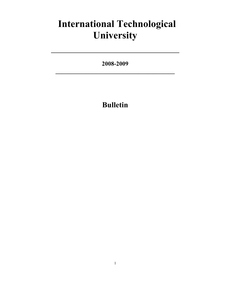# **International Technological University**

**2008-2009 \_\_\_\_\_\_\_\_\_\_\_\_\_\_\_\_\_\_\_\_\_\_\_\_\_\_\_\_\_\_\_\_\_\_\_\_\_\_\_**

## **Bulletin**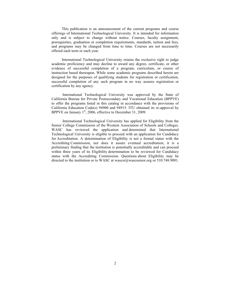This publication is an announcement of the current programs and course offerings of International Technological University. It is intended for information only and is subject to change without notice. Courses, faculty assignment, prerequisites, graduation or completion requirements, standards, tuition and fees, and programs may be changed from time to time. Courses are not necessarily offered each term or each year.

International Technological University retains the exclusive right to judge academic proficiency and may decline to award any degree, certificate, or other evidence of successful completion of a program, curriculum, or course of instruction based thereupon. While some academic programs described herein are designed for the purposes of qualifying students for registration or certification, successful completion of any such program in no way assures registration or certification by any agency.

International Technological University was approved by the State of California Bureau for Private Postsecondary and Vocational Education (BPPVE) to offer the programs listed in this catalog in accordance with the provisions of California Education Code(s) 94900 and 94915. ITU obtained its re-approval by BPPVE on January  $1<sup>st</sup>$ , 2006, effective to December 31, 2009.

International Technological University has applied for Eligibility from the Senior College Commission of the Western Association of Schools and Colleges. WASC has reviewed the application and determined that International Technological University is eligible to proceed with an application for Candidacy for Accreditation. A determination of Eligibility is not a formal status with the Accrediting Commission, nor does it assure eventual accreditation; it is a preliminary finding that the institution is potentially accreditable and can proceed within three years of its Eligibility determination to be reviewed for Candidacy status with the Accrediting Commission. Questions about Eligibility may be directed to the institution or to WASC at wascsr@wascsenior.org or 510.748.9001.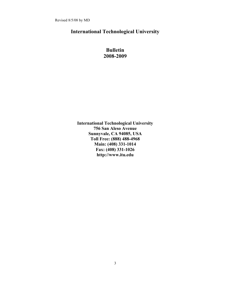Revised 8/5/08 by MD

### **International Technological University**

### **Bulletin 2008-2009**

**International Technological University 756 San Aleso Avenue Sunnyvale, CA 94085, USA Toll Free: (888) 488-4968 Main: (408) 331-1014 Fax: (408) 331-1026 http://www.itu.edu**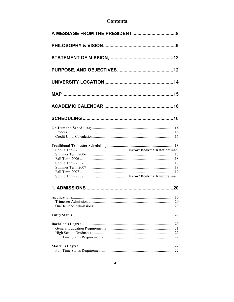## **Contents**

| .20 |
|-----|
|     |
|     |
|     |
|     |
|     |
|     |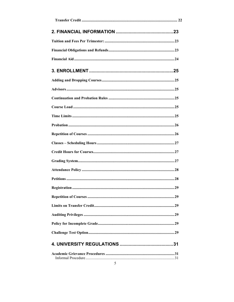| Registration.<br>29 |
|---------------------|
|                     |
|                     |
|                     |
|                     |
|                     |
|                     |
|                     |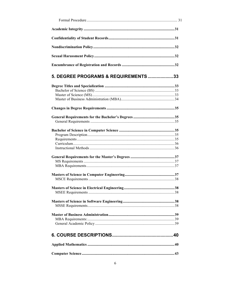| 5. DEGREE PROGRAMS & REQUIREMENTS33 |    |
|-------------------------------------|----|
|                                     |    |
|                                     |    |
|                                     |    |
|                                     |    |
|                                     |    |
|                                     |    |
|                                     |    |
|                                     |    |
|                                     |    |
|                                     |    |
|                                     |    |
|                                     |    |
|                                     |    |
|                                     |    |
|                                     |    |
|                                     |    |
|                                     |    |
|                                     |    |
|                                     |    |
|                                     | 38 |
|                                     |    |
|                                     |    |
|                                     |    |
|                                     |    |
|                                     |    |
|                                     |    |
|                                     |    |
|                                     |    |
|                                     |    |
|                                     |    |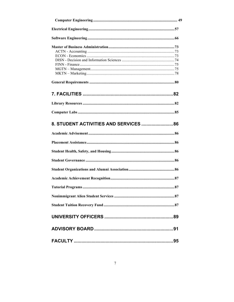| 8. STUDENT ACTIVITIES AND SERVICES  86 |
|----------------------------------------|
|                                        |
|                                        |
|                                        |
|                                        |
|                                        |
|                                        |
|                                        |
|                                        |
|                                        |
|                                        |
|                                        |
|                                        |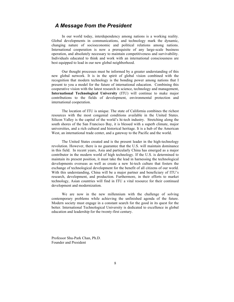### *A Message from the President*

In our world today, interdependency among nations is a working reality. Global developments in communications, and technology mark the dynamic, changing nature of socioeconomic and political relations among nations. International cooperation is now a prerequisite of any large-scale business operation, and absolutely necessary to maintain competitiveness and survivability. Individuals educated to think and work with an international consciousness are best equipped to lead in our new global neighborhood.

Our thought processes must be informed by a greater understanding of this new global network. It is in the spirit of global vision combined with the recognition that modern technology is the bonding power among nations that I present to you a model for the future of international education. Combining this cooperative vision with the latest research in science, technology and management, **International Technological University** (ITU) will continue to make major contributions to the fields of development, environmental protection and international cooperation.

The location of ITU is unique. The state of California combines the richest resources with the most congenial conditions available in the United States. Silicon Valley is the capital of the world's hi-tech industry. Stretching along the south shores of the San Francisco Bay, it is blessed with a superb climate, major universities, and a rich cultural and historical heritage. It is a hub of the American West, an international trade center, and a gateway to the Pacific and the world.

The United States created and is the present leader in the high-technology revolution. However, there is no guarantee that the U.S. will maintain dominance in this field. In recent years, Asia and particularly China has emerged as a major contributor in the modern world of high technology. If the U.S. is determined to maintain its present position, it must take the lead in harnessing the technological developments overseas as well as create a new hi-tech culture that fosters the exchange of technological development for the benefit of all citizens of our world. With this understanding, China will be a major partner and beneficiary of ITU's research, development, and production. Furthermore, in their efforts to market technology, Asian countries will find in ITU a vital resource for their continued development and modernization.

We are now in the new millennium with the challenge of solving contemporary problems while achieving the unfinished agenda of the future. Modern society must engage in a constant search for the good in its quest for the better. International Technological University is dedicated to excellence in global education and leadership for the twenty-first century.

Professor Shu-Park Chan, Ph.D. Founder and President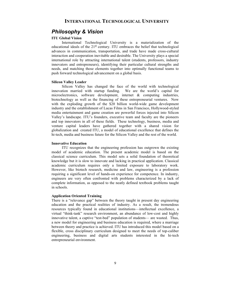### *Philosophy & Vision*

### **ITU Global Vision**

International Technological University is a materialization of the educational ideals of the  $21<sup>st</sup>$  century. ITU embraces the belief that technological advances in communication, transportation, and trade have made cross-cultural interaction and cooperation inevitable and desirable. The University plays a special international role by attracting international talent (students, professors, industry innovators and entrepreneurs), identifying their particular cultural strengths and needs, and matching those elements together into optimally functional teams to push forward technological advancement on a global basis.

#### **Silicon Valley Leader**

Silicon Valley has changed the face of the world with technological innovation married with startup funding. We are the world's capital for microelectronics, software development, internet & computing industries, biotechnology as well as the financing of these entrepreneurial ventures. Now with the exploding growth of the \$20 billion world-wide game development industry and the establishment of Lucas Films in San Francisco, Hollywood-styled media entertainment and game creation are powerful forces injected into Silicon Valley's landscape. ITU's founders, executive team and faculty are the pioneers and top innovators in all of these fields. These technology, business, media and venture capital leaders have gathered together with a shared vision for globalization and created ITU, a model of educational excellence that defines the hi-tech, media and business future for the Silicon Valley and the rest of the world.

#### **Innovative Education**

ITU recognizes that the engineering profession has outgrown the existing model of academic education. The present academic model is based on the classical science curriculum. This model sets a solid foundation of theoretical knowledge but it is slow to innovate and lacking in practical application. Classical academic curriculum requires only a limited exposure to laboratory work. However, like biotech research, medicine and law, engineering is a profession requiring a significant level of hands-on experience for competence. In industry, engineers are very often confronted with problems characterized by a lack of complete information, as opposed to the neatly defined textbook problems taught in schools.

#### **Application Oriented Training**

There is a "relevance gap" between the theory taught in present day engineering education and the practical realities of industry. As a result, the tremendous resources typically found in educational institutions—intellectual excellence, a virtual "think-tank" research environment, an abundance of low-cost and highly innovative talent, a captive "test-bed" population of students— are wasted. Thus, a new model for engineering and business education is required, where a marriage between theory and practice is achieved. ITU has introduced this model based on a flexible, cross disciplinary curriculum designed to meet the needs of top-caliber engineering, business and digital arts students interested in the hi-tech entrepreneurial environment.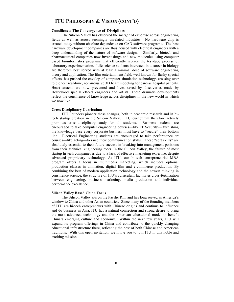### **ITU PHILOSOPHY & VISION (CONT'D)**

#### **Consilience: The Convergence of Disciplines**

The Silicon Valley has observed the merger of expertise across engineering fields as well as across seemingly unrelated industries. No hardware chip is created today without absolute dependence on CAD software programs. The best hardware development companies are thus housed with electrical engineers with a deep understanding of the nature of software design. Similarly, biotech and pharmaceutical companies now invent drugs and new molecules using computer based bioinformatics programs that efficiently replace the test-tube process of laboratory experimentation. Life science students interested in a career in biology are therefore best served with at least a minimal dose of software engineering theory and application. The film entertainment field, well known for flashy special effects, has pushed the envelop of computer simulation technology, crossing over to pioneer real-time, non-intrusive 3D heart modeling for cardiac hospital patients. Heart attacks are now prevented and lives saved by discoveries made by Hollywood special effects engineers and artists. These dramatic developments reflect the consilience of knowledge across disciplines in the new world in which we now live.

#### **Cross Disciplinary Curriculum**

ITU Founders pioneer these changes, both in academic research and in hitech startup creation in the Silicon Valley. ITU curriculum therefore actively promotes cross-disciplinary study for all students. Business students are encouraged to take computer engineering courses—like IT Security— furnishing the knowledge base every corporate business must have to "secure" their bottom line. Electrical Engineering students are encouraged to take performance art courses—like acting—to raise their communication skills. These "soft skills" are absolutely essential to their future success in breaking into management positions from their technical engineering roots. In the Silicon Valley, the failure of most startup hi-tech companies is due to a lack of effective marketing expertise, despite advanced proprietary technology. At ITU, our hi-tech entrepreneurial MBA program offers a focus in multimedia marketing, which includes optional production classes in animation, digital film and e-commerce production. By combining the best of modern application technology and the newest thinking in consilience science, the structure of ITU's curriculum facilitates cross-fertilization between engineering, business marketing, media production and individual performance excellence.

#### **Silicon Valley Based China Focus**

The Silicon Valley sits on the Pacific Rim and has long served as America's window to China and other Asian countries. Since many of the founding members of ITU are hi-tech entrepreneurs with Chinese origins and continue to influence and do business in Asia, ITU has a natural connection and strong desire to bring the most advanced technology and the American educational model to benefit China's emerging culture and economy. Within the next few years, ITU will expand its program offerings in China and contribute to the quickly changing educational infrastructure there, reflecting the best of both Chinese and American traditions. With this open invitation, we invite you to join ITU in this noble and exciting mission.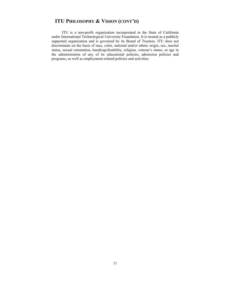### **ITU PHILOSOPHY & VISION (CONT'D)**

ITU is a non-profit organization incorporated in the State of California under International Technological University Foundation. It is treated as a publicly supported organization and is governed by its Board of Trustees. ITU does not discriminate on the basis of race, color, national and/or ethnic origin, sex, marital status, sexual orientation, handicap/disability, religion, veteran's status, or age in the administration of any of its educational policies, admission policies and programs, as well as employment-related policies and activities.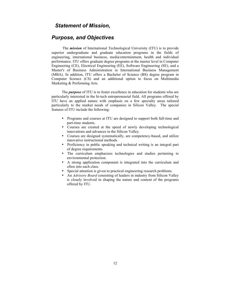### *Statement of Mission,*

### *Purpose, and Objectives*

The *mission* of International Technological University (ITU) is to provide superior undergraduate and graduate education programs in the fields of engineering, international business, media/entertainment, health and individual performance. ITU offers graduate degree programs at the master level in Computer Engineering (CE), Electrical Engineering (EE), Software Engineering (SE), and a Master's of Business Administration in International Business Management (MBA). In addition, ITU offers a Bachelor of Science (BS) degree program in Computer Science (CS) and an additional option to focus on Multimedia Marketing & Performing Arts.

The *purpose* of ITU is to foster excellence in education for students who are particularly interested in the hi-tech entrepreneurial field. All programs offered by ITU have an applied nature with emphasis on a few specialty areas tailored particularly to the market needs of companies in Silicon Valley. The special features of ITU include the following:

- Programs and courses at ITU are designed to support both full-time and part-time students.
- Courses are created at the speed of newly developing technological innovations and advances in the Silicon Valley.
- Courses are designed systematically, are competency-based, and utilize innovative instructional methods.
- Proficiency in public speaking and technical writing is an integral part of degree requirements.
- The curriculum emphasizes technologies and studies pertaining to environmental protection.
- A strong application component is integrated into the curriculum and often into each class.
- Special attention is given to practical engineering research problems.
- An *Advisory Board* consisting of leaders in industry from Silicon Valley is closely involved in shaping the nature and content of the programs offered by ITU.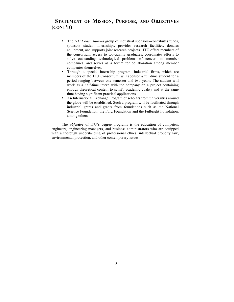### **STATEMENT OF MISSION, PURPOSE, AND OBJECTIVES (CONT'D)**

- The *ITU Consortium--*a group of industrial sponsors--contributes funds, sponsors student internships, provides research facilities, donates equipment, and supports joint research projects. ITU offers members of the consortium access to top-quality graduates, coordinates efforts to solve outstanding technological problems of concern to member companies, and serves as a forum for collaboration among member companies themselves.
- Through a special internship program, industrial firms, which are members of the ITU Consortium, will sponsor a full-time student for a period ranging between one semester and two years. The student will work as a half-time intern with the company on a project containing enough theoretical content to satisfy academic quality and at the same time having significant practical applications.
- An International Exchange Program of scholars from universities around the globe will be established. Such a program will be facilitated through industrial grants and grants from foundations such as the National Science Foundation, the Ford Foundation and the Fulbright Foundation, among others.

The *objective* of ITU's degree programs is the education of competent engineers, engineering managers, and business administrators who are equipped with a thorough understanding of professional ethics, intellectual property law, environmental protection, and other contemporary issues.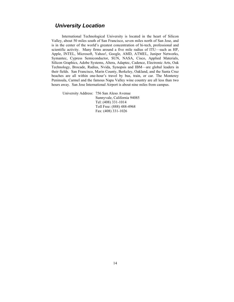### *University Location*

International Technological University is located in the heart of Silicon Valley, about 50 miles south of San Francisco, seven miles north of San Jose, and is in the center of the world's greatest concentration of hi-tech, professional and scientific activity. Many firms around a five mile radius of ITU—such as HP, Apple, INTEL, Microsoft, Yahoo!, Google, AMD, ATMEL, Juniper Networks, Symantec, Cypress Semiconductor, SUN, NASA, Cisco, Applied Materials, Silicon Graphics, Adobe Systems, Altera, Adaptec, Cadence, Electronic Arts, Oak Technology, Brocade, Radius, Nvida, Synopsis and IBM—are global leaders in their fields. San Francisco, Marin County, Berkeley, Oakland, and the Santa Cruz beaches are all within one-hour's travel by bus, train, or car. The Monterey Peninsula, Carmel and the famous Napa Valley wine country are all less than two hours away. San Jose International Airport is about nine miles from campus.

University Address: 756 San Aleso Avenue Sunnyvale, California 94085 Tel: (408) 331-1014 Toll Free: (888) 488-4968 Fax: (408) 331-1026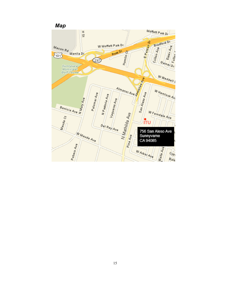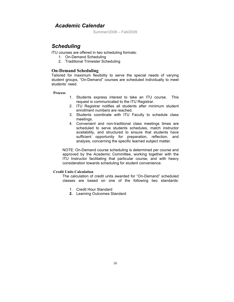### *Academic Calendar*

Summer/2008 – Fall/2009

### *Scheduling*

ITU courses are offered in two scheduling formats:

- 1. On-Demand Scheduling
- 2. Traditional Trimester Scheduling

### **On-Demand Scheduling**

Tailored for maximum flexibility to serve the special needs of varying student groups, "On-Demand" courses are scheduled individually to meet students' need.

### **Process**

- 1. Students express interest to take an ITU course. This request is communicated to the ITU Registrar.
- 2. ITU Registrar notifies all students after minimum student enrollment numbers are reached.
- 3. Students coordinate with ITU Faculty to schedule class meetings.
- 4. Convenient and non-traditional class meetings times are scheduled to serve students schedules, match instructor availability, and structured to ensure that students have sufficient opportunity for preparation, reflection, and analysis, concerning the specific learned subject matter.

NOTE: On-Demand course scheduling is determined per course and approved by the Academic Committee, working together with the ITU Instructor facilitating that particular course, and with heavy consideration towards scheduling for student convenience.

### **Credit Units Calculation**

The calculation of credit units awarded for "On-Demand" scheduled classes are based on one of the following two standards:

- 1. Credit Hour Standard
- **2.** Learning Outcomes Standard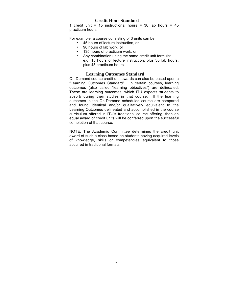### **Credit Hour Standard**

1 credit unit = 15 instructional hours = 30 lab hours =  $45$ practicum hours

For example, a course consisting of 3 units can be:

- 45 hours of lecture instruction, or
- 90 hours of lab work, or
- 135 hours of practicum work, or
- Any combination using the same credit unit formula: e.g. 15 hours of lecture instruction, plus 30 lab hours, plus 45 practicum hours

### **Learning Outcomes Standard**

On-Demand course credit unit awards can also be based upon a "Learning Outcomes Standard". In certain courses, learning outcomes (also called "learning objectives") are delineated. These are learning outcomes, which ITU expects students to absorb during their studies in that course. If the learning outcomes in the On-Demand scheduled course are compared and found identical and/or qualitatively equivalent to the Learning Outcomes delineated and accomplished in the course curriculum offered in ITU's traditional course offering, then an equal award of credit units will be conferred upon the successful completion of that course.

NOTE: The Academic Committee determines the credit unit award of such a class based on students having acquired levels of knowledge, skills or competencies equivalent to those acquired in traditional formats.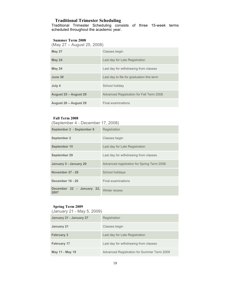### **Traditional Trimester Scheduling**

Traditional Trimester Scheduling consists of three 15-week terms scheduled throughout the academic year.

### **Summer Term 2008**

(May 27 – August 25, 2008)

| <b>May 27</b>         | Classes begin                                   |
|-----------------------|-------------------------------------------------|
| <b>May 24</b>         | Last day for Late Registration                  |
| <b>May 24</b>         | Last day for withdrawing from classes           |
| June 30               | Last day to file for graduation this term       |
| July 4                | School holiday                                  |
| August 25 - August 29 | <b>Advanced Registration for Fall Term 2008</b> |
| August 26 - August 29 | Final examinations                              |

### **Fall Term 2008**

(September 4 - December 17, 2008)

| September 2 - September 8         | Registration                               |
|-----------------------------------|--------------------------------------------|
| <b>September 2</b>                | Classes begin                              |
| September 15                      | Last day for Late Registration             |
| September 29                      | Last day for withdrawing from classes      |
| January 5 - January 20            | Advanced registration for Spring Term 2006 |
| November 27 - 28                  | School holidays                            |
| December 16 - 20                  | Final examinations                         |
| December 22 - January 22,<br>2007 | <b>Winter recess</b>                       |

### **Spring Term 2009**

(January 21 - May 5, 2009)

| January 21 - January 27 | Registration                               |
|-------------------------|--------------------------------------------|
| January 21              | Classes begin                              |
| <b>February 3</b>       | Last day for Late Registration             |
| <b>February 17</b>      | Last day for withdrawing from classes      |
| May 11 - May 19         | Advanced Registration for Summer Term 2009 |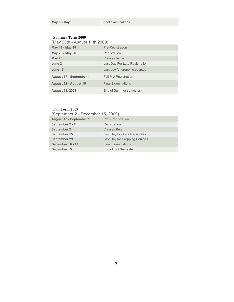### **Summer Term 2009**

| May 11 - May 19                | Pre-Registration               |
|--------------------------------|--------------------------------|
| May 20 - May 26                | Registration                   |
| <b>May 20</b>                  | Classes begin                  |
| June 2                         | Last Day For Late Registration |
| June 16                        | Last day for dropping courses  |
| <b>August 17 - September 1</b> | <b>Fall Pre-Registration</b>   |
| August 12 - August 15          | <b>Final Examinations</b>      |
| <b>August 11, 2009</b>         | End of Summer semester         |

### **Fall Term 2009**

(September 2 - December 15, 2009)

| <b>August 17 - September 1</b> | Pre - Registration             |
|--------------------------------|--------------------------------|
| September 2 - 8                | Registration                   |
| <b>September 2</b>             | <b>Classes Begin</b>           |
| September 15                   | Last Day For Late Registration |
| <b>September 29</b>            | Last Day for Dropping Courses  |
| December 16 - 19               | <b>Final Examinations</b>      |
| December 15                    | End of Fall Semester           |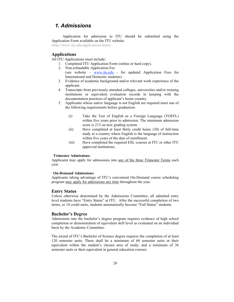### *1. Admissions*

Application for admission to ITU should be submitted using the Application Form available on the ITU website.

(http://www.itu.edu/applications.html)

### **Applications**

All ITU Applications must include:

- 1. Completed ITU Application Form (online or hard copy).
- 2. Non-refundable Application Fee (see website – www.itu.edu - for updated Application Fees for International and Domestic students).
- 3. Evidence of academic background and/or relevant work experience of the applicant.
- 4. Transcripts from previously attended colleges, universities and/or training institutions or equivalent evaluation records in keeping with the documentation practices of applicant's home country.
- 5. Applicants whose native language is not English are required meet one of the following requirements before graduation:
	- (i) Take the Test of English as a Foreign Language (TOEFL) within five years prior to admission. The minimum admission score is 213 on new grading system.
	- (ii) Have completed at least thirty credit hours (30) of full-time study in a country where English is the language of instruction within five years of the date of enrollment.
	- (iii) Have completed the required ESL courses at ITU or other ITU approved institutions.

#### **Trimester Admissions:**

Applicants may apply for admissions into any of the three Trimester Terms each year.

#### **On-Demand Admissions:**

Applicants taking advantage of ITU's convenient On-Demand course scheduling program may apply for admissions any time throughout the year.

### **Entry Status**

Unless otherwise determined by the Admissions Committee, all admitted entry level students have "Entry Status" at ITU. After the successful completion of two terms, or 18 credit units, students automatically become "Full Status" students.

### **Bachelor's Degree**

Admissions into the bachelor's degree program requires evidence of high school completion or demonstration of equivalent skill level as evaluated on an individual basis by the Academic Committee.

The award of ITU's Bachelor of Science degree requires the completion of at least 120 semester units. There shall be a minimum of 60 semester units or their equivalent within the student's chosen area of study; and a minimum of 36 semester units or their equivalent in general education courses.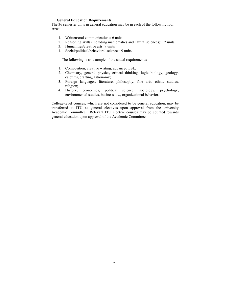#### **General Education Requirements**

The 36 semester units in general education may be in each of the following four areas:

- 1. Written/oral communications: 6 units
- 2. Reasoning skills (including mathematics and natural sciences): 12 units
- 3. Humanities/creative arts: 9 units
- 4. Social/political/behavioral sciences: 9 units

The following is an example of the stated requirements:

- 1. Composition, creative writing, advanced ESL;
- 2. Chemistry, general physics, critical thinking, logic biology, geology, calculus, drafting, astronomy;
- 3. Foreign languages, literature, philosophy, fine arts, ethnic studies, religion;
- 4. History, economics, political science, sociology, psychology, environmental studies, business law, organizational behavior.

College-level courses, which are not considered to be general education, may be transferred to ITU as general electives upon approval from the university Academic Committee. Relevant ITU elective courses may be counted towards general education upon approval of the Academic Committee.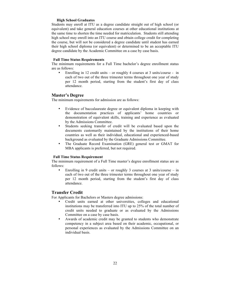#### **High School Graduates**

Students may enroll at ITU as a degree candidate straight out of high school (or equivalent) and take general education courses at other educational institutions at the same time to shorten the time needed for matriculation. Students still attending high school may enroll into an ITU course and obtain college credit for completing the course, but will not be considered a degree candidate until student has earned their high school diploma (or equivalent) or determined to be an acceptable ITU degree candidate by the Academic Committee on a case by case basis.

#### **Full Time Status Requirements**

The minimum requirements for a Full Time bachelor's degree enrollment status are as follows:

• Enrolling in 12 credit units – or roughly 4 courses at 3 units/course - in each of two out of the three trimester terms throughout one year of study per 12 month period, starting from the student's first day of class attendance.

### **Master's Degree**

The minimum requirements for admission are as follows:

- Evidence of baccalaureate degree or equivalent diploma in keeping with the documentation practices of applicants' home countries or demonstration of equivalent skills, training and experience as evaluated by the Admissions Committee.
- Students seeking transfer of credit will be evaluated based upon the documents customarily maintained by the institutions of their home countries as well as their individual, educational and experienced-based background as evaluated by the Graduate Admissions Committee.
- The Graduate Record Examination (GRE) general test or GMAT for MBA applicants is preferred, but not required.

#### **Full Time Status Requirement**

The minimum requirement of a Full Time master's degree enrollment status are as follows:

Enrolling in 9 credit units – or roughly 3 courses at 3 units/course – in each of two out of the three trimester terms throughout one year of study per 12 month period, starting from the student's first day of class attendance.

### **Transfer Credit**

For Applicants for Bachelors or Masters degree admissions:

- Credit units earned at other universities, colleges and educational institutions may be transferred into ITU up to 25% of the total number of credit units needed to graduate or as evaluated by the Admissions Committee on a case by case basis.
- Awards of academic credit may be granted to students who demonstrate competency in a subject area based on their academic, occupational, or personal experiences as evaluated by the Admissions Committee on an individual basis.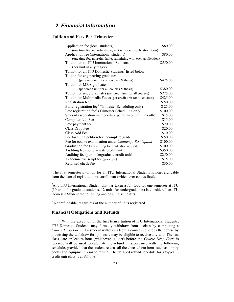### *2. Financial Information*

### **Tuition and Fees Per Trimester:**

| Application fee (local students)                                 | \$80.00  |
|------------------------------------------------------------------|----------|
| (one time fee, nonrefundable, sent with each application form)   |          |
| Application fee (international students)                         | \$80.00  |
| (one time fee, nonrefundable, submitting with each application)  |          |
| Tuition for all ITU International Students <sup>1</sup>          | \$550.00 |
| (per unit in any major)                                          |          |
| Tuition for all ITU Domestic Students <sup>2</sup> listed below: |          |
| Tuition for engineering graduates                                |          |
| (per credit unit for all courses & thesis)                       | \$425.00 |
| Tuition for MBA graduates                                        |          |
| (per credit unit for all courses $&$ thesis)                     | \$380.00 |
| Tuition for undergraduates (per credit unit for all courses)     | \$275.00 |
| Tuition for Multimedia Focus (per credit unit for all courses)   | \$425.00 |
| Registration fee <sup>3</sup>                                    | \$50.00  |
| Early registration fee <sup>3</sup> (Trimester Scheduling only)  | \$25.00  |
| Late registration fee <sup>3</sup> (Trimester Scheduling only)   | \$100.00 |
| Student association membership (per term or equiv month)         | \$15.00  |
| Computer Lab Fee                                                 | \$15.00  |
| Late payment fee                                                 | \$20.00  |
| Class Drop Fee                                                   | \$20.00  |
| Class Add Fee                                                    | \$10.00  |
| Fee for filing petition for incomplete grade                     | \$50.00  |
| Fee for course examination under Challenge Test Option           | \$100.00 |
| Graduation fee (when filing for graduation request)              | \$100.00 |
| Auditing fee (per graduate credit unit)                          | \$350.00 |
| Auditing fee (per undergraduate credit unit)                     | \$250.00 |
| Academic transcript fee (per copy)                               | \$15.00  |
| Returned check fee                                               | \$50.00  |

<sup>1</sup>The first semester's tuition for all ITU International Students is non-refundable from the date of registration or enrollment (which ever comes first).

 $2$ Any ITU International Student that has taken a full load for one semester at ITU (10 units for graduate students, 12 units for undergraduates) is considered an ITU Domestic Student the following and ensuing semesters.

<sup>3</sup> Nonrefundable, regardless of the number of units registered.

### **Financial Obligations and Refunds**

With the exception of the first term's tuition of ITU International Students, ITU Domestic Students may formally withdraw from a class by completing a *Course Drop Form*. If a student withdraws from a course (i.e. drops the course by processing the withdraw form), he/she may be eligible to receive a refund. The last class date or lecture hour (whichever is later) before the *Course Drop Form* is received will be used to calculate the refund in accordance with the following schedule, provided that the student returns all the checked out items such as library books and equipment prior to refund. The detailed refund schedule for a typical 3 credit unit class is as follows: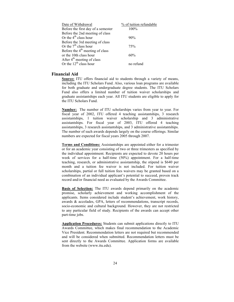| Date of Withdrawal                     | % of tuition refundable |
|----------------------------------------|-------------------------|
| Before the first day of a semester     | $100\%$                 |
| Before the 2nd meeting of class        |                         |
| Or the $4th$ class hour                | 90%                     |
| Before the 3rd meeting of class        |                         |
| Or the $7th$ class hour                | 75%                     |
| Before the $4th$ meeting of class      |                         |
| or the 10th class hour                 | 60%                     |
| After $4^{\text{th}}$ meeting of class |                         |
| Or the $12^{th}$ class hour            | no refund               |

### **Financial Aid**

**Source:** ITU offers financial aid to students through a variety of means, including the ITU Scholars Fund. Also, various loan programs are available for both graduate and undergraduate degree students. The ITU Scholars Fund also offers a limited number of tuition waiver scholarships and graduate assistantships each year. All ITU students are eligible to apply for the ITU Scholars Fund.

**Number:** The number of ITU scholarships varies from year to year. For fiscal year of 2002, ITU offered 4 teaching assistantships, 3 research assistantships, 1 tuition waiver scholarship and 3 administrative assistantships. For fiscal year of 2003, ITU offered 4 teaching assistantships, 3 research assistantships, and 3 administrative assistantships. The number of such awards depends largely on the course offerings. Similar numbers are expected for fiscal years 2005 through 2007.

**Terms and Conditions:** Assistantships are appointed either for a trimester or for an academic year consisting of two or three trimesters as specified by the individual appointment. Recipients are expected to devote 20 hours per week of services for a half-time (50%) appointment. For a half-time teaching, research, or administrative assistantship, the stipend is \$640 per month and a tuition fee waiver is not included. For tuition waiver scholarships, partial or full tuition fees waivers may be granted based on a combination of an individual applicant's potential to succeed, proven track record and/or financial need as evaluated by the Awards Committee.

**Basis of Selection:** The ITU awards depend primarily on the academic promise, scholarly achievement and working accomplishment of the applicants. Items considered include student's achievement, work history, awards & accolades, GPA, letters of recommendations, transcript records, socio-economic and cultural background. However, they are not restricted to any particular field of study. Recipients of the awards can accept other part-time jobs.

**Application Procedures:** Students can submit applications directly to ITU Awards Committee, which makes final recommendation to the Academic Vice President. Recommendation letters are not required but recommended and will be considered when submitted. Recommendation letters must be sent directly to the Awards Committee. Application forms are available from the website (www.itu.edu).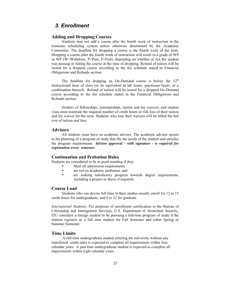### *3. Enrollment*

### **Adding and Dropping Courses**

Students may not add a course after the fourth week of instruction in the trimester scheduling system unless otherwise determined by the Academic Committee. The deadline for dropping a course is the fourth week of the term. Dropping a course after the fourth week of instruction will result in a grade of WP or WF (W=Withdraw, P=Pass, F=Fail), depending on whether or not the student was passing or failing the course at the time of dropping. Refund of tuition will be issued for a dropped course according to the fee schedule stated in Financial Obligations and Refunds section.

The deadline for dropping an On-Demand course is before the  $12<sup>th</sup>$ instructional hour of class (or its equivalent in lab hours, practicum hours, or a combination thereof). Refund of tuition will be issued for a dropped On-Demand course according to the fee schedule stated in the Financial Obligations and Refunds section.

Holders of fellowships, assistantships, tuition and fee waivers, and student visas must maintain the required number of credit hours or risk loss of their tuition and fee waiver for the term. Students who lose their waivers will be billed the full cost of tuition and fees.

#### **Advisors**

All students must have an academic advisor. The academic advisor assists in the planning of a program of study that fits the needs of the student and satisfies the program requirements. *Advisor approval - with signature - is required for registration every semester*.

### **Continuation and Probation Rules**

Students are considered to be in good standing if they:

- Meet all admissions requirements<br>• are not on academic probation: an
- are not on academic probation; and
- are making satisfactory progress towards degree requirements, including a project or thesis if required.

### **Course Load**

Students who can devote full time to their studies usually enroll for 12 to 15 credit hours for undergraduate and 9 to 12 for graduate.

*International Students:* For purposes of enrollment certification to the Bureau of Citizenship and Immigration Services, U.S. Department of Homeland Security, ITU considers a foreign student to be pursuing a full-time program of study if the student registers as a full time student for Fall Semester and either Spring or Summer Semester.

### **Time Limits**

A full time undergraduate student entering the university without any transferred credit units is expected to complete all requirements within four calendar years. A part time undergraduate student is expected to complete all requirements within eight calendar years.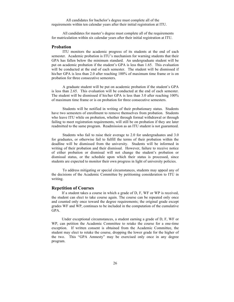All candidates for bachelor's degree must complete all of the requirements within ten calendar years after their initial registration at ITU.

All candidates for master's degree must complete all of the requirements for matriculation within six calendar years after their initial registration at ITU.

### **Probation**

ITU monitors the academic progress of its students at the end of each semester. Academic probation is ITU's mechanism for warning students that their GPA has fallen below the minimum standard. An undergraduate student will be put on academic probation if the student's GPA is less than 1.65. This evaluation will be conducted at the end of each semester. The student will be dismissed if his/her GPA is less than 2.0 after reaching 100% of maximum time frame or is on probation for three consecutive semesters.

A graduate student will be put on academic probation if the student's GPA is less than 2.65. This evaluation will be conducted at the end of each semester. The student will be dismissed if his/her GPA is less than 3.0 after reaching 100% of maximum time frame or is on probation for three consecutive semesters.

Students will be notified in writing of their probationary status. Students have two semesters of enrollment to remove themselves from probation. Students who leave ITU while on probation, whether through formal withdrawal or through failing to meet registration requirements, will still be on probation if they are later readmitted to the same program. Readmission as an ITU student is not guaranteed.

Students who fail to raise their average to 2.0 for undergraduates and 3.0 for graduates, or otherwise fail to fulfill the terms of their probation within the deadline will be dismissed from the university. Students will be informed in writing of their probation and their dismissal. However, failure to receive notice of either probation or dismissal will not change the student's probation or dismissal status, or the schedule upon which their status is processed, since students are expected to monitor their own progress in light of university policies.

To address mitigating or special circumstances, students may appeal any of the decisions of the Academic Committee by petitioning consideration to ITU in writing.

### **Repetition of Courses**

If a student takes a course in which a grade of D, F, WF or WP is received, the student can elect to take course again. The course can be repeated only once and counted only once toward the degree requirements; the original grade except grades WF and WP, continues to be included in the computation of the cumulative GPA.

Under exceptional circumstances, a student earning a grade of D, F, WF or WP, can petition the Academic Committee to retake the course for a one-time exception. If written consent is obtained from the Academic Committee, the student may elect to retake the course, dropping the lower grade for the higher of the two. This "GPA Amnesty" may be exercised only once in any degree program.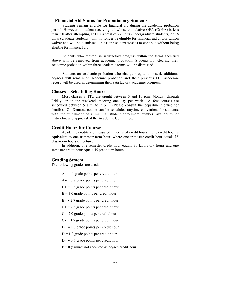### **Financial Aid Status for Probationary Students**

Students remain eligible for financial aid during the academic probation period. However, a student receiving aid whose cumulative GPA (CGPA) is less than 2.0 after attempting at ITU a total of 24 units (undergraduate students) or 18 units (graduate students), will no longer be eligible for financial aid and/or tuition waiver and will be dismissed, unless the student wishes to continue without being eligible for financial aid.

Students who reestablish satisfactory progress within the terms specified above will be removed from academic probation. Students not clearing their academic probation within three academic terms will be dismissed.

Students on academic probation who change programs or seek additional degrees will remain on academic probation and their previous ITU academic record will be used in determining their satisfactory academic progress.

#### **Classes – Scheduling Hours**

Most classes at ITU are taught between 5 and 10 p.m. Monday through Friday, or on the weekend, meeting one day per week. A few courses are scheduled between 9 a.m. to 7 p.m. (Please consult the department office for details). On-Demand course can be scheduled anytime convenient for students, with the fulfillment of a minimal student enrollment number, availability of instructor, and approval of the Academic Committee.

### **Credit Hours for Courses**

Academic credits are measured in terms of credit hours. One credit hour is equivalent to one trimester term hour, where one trimester credit hour equals 15 classroom hours of lecture.

In addition, one semester credit hour equals 30 laboratory hours and one semester credit hour equals 45 practicum hours.

#### **Grading System**

The following grades are used:

- $A = 4.0$  grade points per credit hour
- A− = 3.7 grade points per credit hour
- $B<sup>+</sup> = 3.3$  grade points per credit hour
- $B = 3.0$  grade points per credit hour
- B− = 2.7 grade points per credit hour
- $C_{+}$  = 2.3 grade points per credit hour
- $C = 2.0$  grade points per credit hour
- C− = 1.7 grade points per credit hour
- $D<sup>+</sup> = 1.3$  grade points per credit hour
- $D = 1.0$  grade points per credit hour
- D− = 0.7 grade points per credit hour
- $F = 0$  (failure; not accepted as degree credit hour)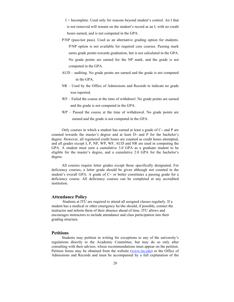I = Incomplete. Used only for reasons beyond student's control. An I that is not removed will remain on the student's record as an I, with no credit hours earned, and is not computed in the GPA.

- P/NP (pass/not pass). Used as an alternative grading option for students. P/NP option is not available for required core courses. Passing mark earns grade points towards graduation, but is not calculated in the GPA. No grade points are earned for the NP mark, and the grade is not computed in the GPA.
- AUD auditing. No grade points are earned and the grade is not computed in the GPA.
- NR Used by the Office of Admissions and Records to indicate no grade was reported.
- WF Failed the course at the time of withdrawl. No grade points are earned and the grade is not computed in the GPA.
- WP Passed the course at the time of withdrawal. No grade points are earned and the grade is not computed in the GPA.

Only courses in which a student has earned at least a grade of C− and P are counted towards the master's degree and at least D− and P for the bachelor's degree. However, all registered credit hours are counted as credit hours attempted, and all grades except I, P, NP, WP, WF, AUD and NR are used in computing the GPA. A student must earn a cumulative 3.0 GPA as a graduate student to be eligible for the master's degree, and a cumulative 2.0 GPA for the bachelor's degree.

All courses require letter grades except those specifically designated. For deficiency courses, a letter grade should be given although not counted in the student's overall GPA. A grade of C− or better constitutes a passing grade for a deficiency course. All deficiency courses can be completed at any accredited institution.

### **Attendance Policy**

Students at ITU are required to attend all assigned classes regularly. If a student has a medical or other emergency he/she should, if possible, contact the instructor and inform them of their absence ahead of time. ITU allows and encourages instructors to include attendance and class participation into their grading structure.

### **Petitions**

Students may petition in writing for exceptions to any of the university's regulations directly to the Academic Committee, but may do so only after consulting with their advisor, whose recommendations must appear on the petition. Petition forms may be obtained from the website (www.itu.edu) or the Office of Admissions and Records and must be accompanied by a full explanation of the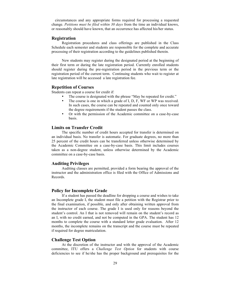circumstances and any appropriate forms required for processing a requested change. *Petitions must be filed within 30 days* from the time an individual knows, or reasonably should have known, that an occurrence has affected his/her status.

### **Registration**

Registration procedures and class offerings are published in the Class Schedule each semester and students are responsible for the complete and accurate processing of their registration according to the guidelines published therein.

New students may register during the designated period at the beginning of their first term or during the late registration period. Currently enrolled students should register during the pre-registration period in the previous term or the registration period of the current term. Continuing students who wait to register at late registration will be accessed a late registration fee.

### **Repetition of Courses**

Students can repeat a course for credit if:

- The course is designated with the phrase "May be repeated for credit."
- The course is one in which a grade of I, D, F, WF or WP was received. In such cases, the course can be repeated and counted only once toward the degree requirements if the student passes the class.
- Or with the permission of the Academic committee on a case-by-case basis.

### **Limits on Transfer Credit**

The specific number of credit hours accepted for transfer is determined on an individual basis. No transfer is automatic. For graduate degrees, no more than 25 percent of the credit hours can be transferred unless otherwise determined by the Academic Committee on a case-by-case basis. This limit includes courses taken as a non-degree student, unless otherwise determined by the Academic committee on a case-by-case basis.

### **Auditing Privileges**

Auditing classes are permitted, provided a form bearing the approval of the instructor and the administration office is filed with the Office of Admissions and Records.

#### **Policy for Incomplete Grade**

If a student has passed the deadline for dropping a course and wishes to take an Incomplete grade I, the student must file a petition with the Registrar prior to the final examination, if possible, and only after obtaining written approval from the instructor of each course. The grade I is used only for reasons beyond the student's control. An I that is not removed will remain on the student's record as an I, with no credit earned, and not be computed in the GPA. The student has 12 months to complete the course with a standard letter grade evaluation. After 12 months, the incomplete remains on the transcript and the course must be repeated if required for degree matriculation.

### **Challenge Test Option**

At the discretion of the instructor and with the approval of the Academic committee, ITU offers a *Challenge Test Option* for students with course deficiencies to see if he/she has the proper background and prerequisites for the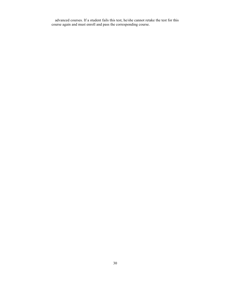advanced courses. If a student fails this test, he/she cannot retake the test for this course again and must enroll and pass the corresponding course.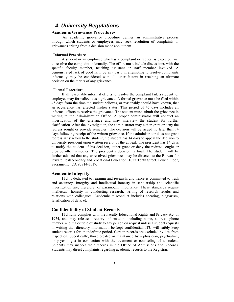### *4. University Regulations*

### **Academic Grievance Procedures**

An academic grievance procedure defines an administrative process through which students or employees may seek resolution of complaints or grievances arising from a decision made about them.

### **Informal Procedure**

A student or an employee who has a complaint or request is expected first to resolve the complaint informally. The effort must include discussions with the specific faculty member, teaching assistant or staff member involved. A demonstrated lack of good faith by any party in attempting to resolve complaints informally may be considered with all other factors in reaching an ultimate decision on the merits of any grievance.

#### **Formal Procedure**

If all reasonable informal efforts to resolve the complaint fail, a student or employee may formalize it as a grievance. A formal grievance must be filed within 45 days from the time the student believes, or reasonably should have known, that an occurrence has effected his/her status. This period of 45 days includes all informal efforts to resolve the grievance. The student must submit the grievance in writing to the Administration Office. A proper administrator will conduct an investigation of the grievance and may interview the student for further clarification. After the investigation, the administrator may either grant or deny the redress sought or provide remedies. The decision will be issued no later than 14 days following receipt of the written grievance. If the administrator does not grant redress satisfactory to the student, the student has 14 days to appeal the decision to university president upon written receipt of the appeal. The president has 14 days to notify the student of his decision, either grant or deny the redress sought or provide other remedies. The president's decision is final. The student will be further advised that any unresolved grievances may be directed to the Bureau for Private Postsecondary and Vocational Education, 1027 Tenth Street, Fourth Floor, Sacramento, CA 95814-3517.

### **Academic Integrity**

ITU is dedicated to learning and research, and hence is committed to truth and accuracy. Integrity and intellectual honesty in scholarship and scientific investigation are, therefore, of paramount importance. These standards require intellectual honesty in conducting research, writing of research results and relations with colleagues. Academic misconduct includes cheating, plagiarism, falsification of data, etc.

### **Confidentiality of Student Records**

ITU fully complies with the Faculty Educational Rights and Privacy Act of 1974, and may release directory information, including name, address, phone number, and major field of study to any person on request unless a student requests in writing that directory information be kept confidential. ITU will safely keep student records for an indefinite period. Certain records are excluded by law from inspection. Specifically, those created or maintained by a physician, psychiatrist, or psychologist in connection with the treatment or counseling of a student. Students may inspect their records in the Office of Admissions and Records. Students may direct complaints regarding academic records to the Registrar.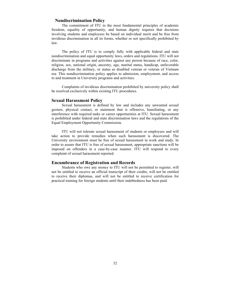### **Nondiscrimination Policy**

The commitment of ITU to the most fundamental principles of academic freedom, equality of opportunity, and human dignity requires that decisions involving students and employees be based on individual merit and be free from invidious discrimination in all its forms, whether or not specifically prohibited by law.

The policy of ITU is to comply fully with applicable federal and state nondiscrimination and equal opportunity laws, orders and regulations. ITU will not discriminate in programs and activities against any person because of race, color, religion, sex, national origin, ancestry, age, marital status, handicap, unfavorable discharge from the military, or status as disabled veteran or veteran of Vietnam era. This nondiscrimination policy applies to admission, employment, and access to and treatment in University programs and activities.

Complaints of invidious discrimination prohibited by university policy shall be resolved exclusively within existing ITU procedures.

### **Sexual Harassment Policy**

Sexual harassment is defined by law and includes any unwanted sexual gesture, physical contact, or statement that is offensive, humiliating, or any interference with required tasks or career opportunities at ITU. Sexual harassment is prohibited under federal and state discrimination laws and the regulations of the Equal Employment Opportunity Commission.

ITU will not tolerate sexual harassment of students or employees and will take action to provide remedies when such harassment is discovered. The University environment must be free of sexual harassment in work and study. In order to assure that ITU is free of sexual harassment, appropriate sanctions will be imposed on offenders in a case-by-case manner. ITU will respond to every complaint of sexual harassment reported.

#### **Encumbrance of Registration and Records**

Students who owe any money to ITU will not be permitted to register, will not be entitled to receive an official transcript of their credits, will not be entitled to receive their diplomas, and will not be entitled to receive certification for practical training for foreign students until their indebtedness has been paid.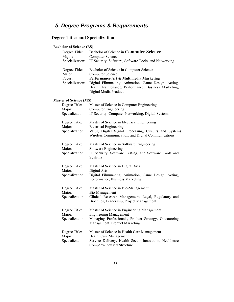## *5. Degree Programs & Requirements*

### **Degree Titles and Specialization**

### **Bachelor of Science (BS)**

| Degree Title:<br>Major:<br>Specialization:                                  | Bachelor of Science in Computer Science<br>Computer Science<br>IT Security, Software, Software Tools, and Networking                                                                                                                                    |
|-----------------------------------------------------------------------------|---------------------------------------------------------------------------------------------------------------------------------------------------------------------------------------------------------------------------------------------------------|
| Degree Title:<br>Major<br>Focus:<br>Specialization:                         | Bachelor of Science in Computer Science<br><b>Computer Science</b><br>Performance Art & Multimedia Marketing<br>Digital Filmmaking, Animation, Game Design, Acting,<br>Health Maintenance, Performance, Business Marketing,<br>Digital Media Production |
|                                                                             |                                                                                                                                                                                                                                                         |
| <b>Master of Science (MS)</b><br>Degree Title:<br>Major:<br>Specialization: | Master of Science in Computer Engineering<br><b>Computer Engineering</b><br>IT Security, Computer Networking, Digital Systems                                                                                                                           |
| Degree Title:<br>Major:<br>Specialization:                                  | Master of Science in Electrical Engineering<br><b>Electrical Engineering</b><br>VLSI, Digital Signal Processing, Circuits and Systems,<br>Wireless Communication, and Digital Communications                                                            |
| Degree Title:<br>Major:<br>Specialization:                                  | Master of Science in Software Engineering<br>Software Engineering<br>IT Security, Software Testing, and Software Tools and<br>Systems                                                                                                                   |
| Degree Title:<br>Major:<br>Specialization:                                  | Master of Science in Digital Arts<br>Digital Arts<br>Digital Filmmaking, Animation, Game Design, Acting,<br>Performance, Business Marketing                                                                                                             |
| Degree Title:<br>Major:<br>Specialization:                                  | Master of Science in Bio-Management<br>Bio-Management<br>Clinical Research Management, Legal, Regulatory and<br>Bioethics, Leadership, Project Management                                                                                               |
| Degree Title:<br>Major:<br>Specialization:                                  | Master of Science in Engineering Management<br><b>Engineering Management</b><br>Managing Professionals, Product Strategy, Outsourcing<br>Management, Product Marketing                                                                                  |
| Degree Title:<br>Major:<br>Specialization:                                  | Master of Science in Health Care Management<br>Health Care Management<br>Service Delivery, Health Sector Innovation, Healthcare<br>Company/Industry Structure                                                                                           |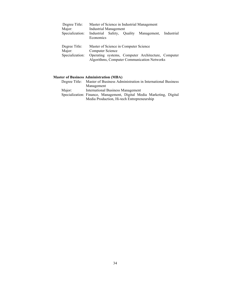| Degree Title:   | Master of Science in Industrial Management              |
|-----------------|---------------------------------------------------------|
| Major:          | Industrial Management                                   |
| Specialization: | Industrial Safety, Quality<br>Management,<br>Industrial |
|                 | Economics                                               |
|                 |                                                         |
| Degree Title:   | Master of Science in Computer Science                   |
| Major:          | Computer Science                                        |
| Specialization: | Operating systems, Computer Architecture, Computer      |
|                 | Algorithms, Computer Communication Networks             |

### **Master of Business Administration (MBA)**

|        | Degree Title: Master of Business Administration in International Business |
|--------|---------------------------------------------------------------------------|
|        | Management                                                                |
| Major: | International Business Management                                         |
|        | Specialization: Finance, Management, Digital Media Marketing, Digital     |
|        | Media Production, Hi-tech Entrepreneurship                                |
|        |                                                                           |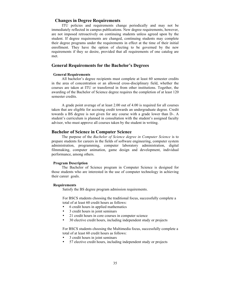### **Changes in Degree Requirements**

ITU policies and requirements change periodically and may not be immediately reflected in campus publications. New degree requirements, however, are not imposed retroactively on continuing students unless agreed upon by the student. If degree requirements are changed, continuing students may complete their degree programs under the requirements in effect at the time of their initial enrollment. They have the option of electing to be governed by the new requirements if they so desire, provided that all requirements of one catalog are met.

### **General Requirements for the Bachelor's Degrees**

#### **General Requirements**

All bachelor's degree recipients must complete at least 60 semester credits in the area of concentration or an allowed cross-disciplinary field, whether the courses are taken at ITU or transferred in from other institutions. Together, the awarding of the Bachelor of Science degree requires the completion of at least 120 semester credits.

A grade point average of at least 2.00 out of 4.00 is required for all courses taken that are eligible for accruing credit towards an undergraduate degree. Credit towards a BS degree is not given for any course with a grade lower than D-. A student's curriculum is planned in consultation with the student's assigned faculty advisor, who must approve all courses taken by the student in writing.

### **Bachelor of Science in Computer Science**

The purpose of the *Bachelor of Science degree in Computer Science* is to prepare students for careers in the fields of software engineering, computer system administration, programming, computer laboratory administration, digital filmmaking, computer animation, game design and development, individual performance, among others.

#### **Program Description**

The Bachelor of Science program in Computer Science is designed for those students who are interested in the use of computer technology in achieving their career goals.

#### **Requirements**

Satisfy the BS degree program admission requirements.

For BSCS students choosing the traditional focus, successfully complete a total of at least 60 credit hours as follows:

- 6 credit hours in applied mathematics
- 3 credit hours in joint seminars
- 21 credit hours in core courses in computer science
- 30 elective credit hours, including independent study or projects

For BSCS students choosing the Multimedia focus, successfully complete a total of at least 60 credit hours as follows:

- 3 credit hours in joint seminars
- 57 elective credit hours, including independent study or projects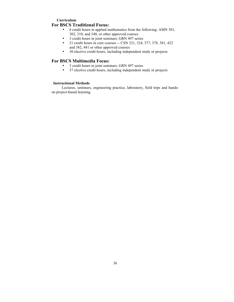### **Curriculum For BSCS Traditional Focus:**

- 6 credit hours in applied mathematics from the following: AMN 301, 302, 310, and 340, or other approved courses
- 3 credit hours in joint seminars: GRN 497 series
- 21 credit hours in core courses -- CSN 321, 324, 377, 378, 381, 422 and 382, 481 or other approved courses
- 30 elective credit hours, including independent study or projects

### **For BSCS Multimedia Focus:**

- 3 credit hours in joint seminars: GRN 497 series
- 57 elective credit hours, including independent study or projects

### **Instructional Methods**

Lectures, seminars, engineering practice, laboratory, field trips and handson project-based learning.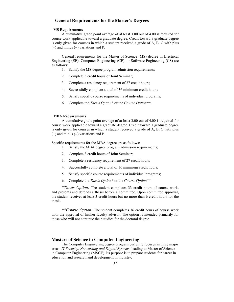# **General Requirements for the Master's Degrees**

# **MS Requirements**

A cumulative grade point average of at least 3.00 out of 4.00 is required for course work applicable toward a graduate degree. Credit toward a graduate degree is only given for courses in which a student received a grade of A, B, C with plus (+) and minus (−) variations and P.

General requirements for the Master of Science (MS) degree in Electrical Engineering (EE), Computer Engineering (CE), or Software Engineering (CS) are as follows:

- 1. Satisfy the MS degree program admission requirements;
- 2. Complete 3 credit hours of Joint Seminar;
- 3. Complete a residency requirement of 27 credit hours;
- 4. Successfully complete a total of 36 minimum credit hours;
- 5. Satisfy specific course requirements of individual programs;
- 6. Complete the *Thesis Option\** or the *Course Option\*\**.

#### **MBA Requirements**

A cumulative grade point average of at least 3.00 out of 4.00 is required for course work applicable toward a graduate degree. Credit toward a graduate degree is only given for courses in which a student received a grade of A, B, C with plus (+) and minus (−) variations and P.

Specific requirements for the MBA degree are as follows:

- 1. Satisfy the MBA degree program admission requirements;
- 2. Complete 3 credit hours of Joint Seminar;
- 3. Complete a residency requirement of 27 credit hours;
- 4. Successfully complete a total of 36 minimum credit hours;
- 5. Satisfy specific course requirements of individual programs;
- 6. Complete the *Thesis Option\** or the *Course Option\*\**.

*\*Thesis Option:* The student completes 33 credit hours of course work, and presents and defends a thesis before a committee. Upon committee approval, the student receives at least 3 credit hours but no more than 6 credit hours for the thesis.

*\*\*Course Option:* The student completes 36 credit hours of course work with the approval of his/her faculty advisor. The option is intended primarily for those who will not continue their studies for the doctoral degree.

# **Masters of Science in Computer Engineering**

The Computer Engineering degree program currently focuses in three major areas: *IT Security, Networking and Digital Systems*, leading to Master of Science in Computer Engineering (MSCE). Its purpose is to prepare students for career in education and research and development in industry.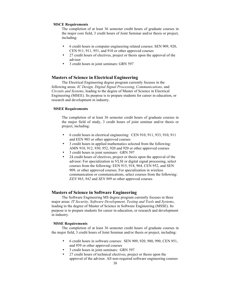### **MSCE Requirements**

The completion of at least 36 semester credit hours of graduate courses in the major core field, 3 credit hours of Joint Seminar and/or thesis or project, including:

- 6 credit hours in computer engineering related courses: SEN 909, 920, CEN 911, 911, 951, and 910 or other approved courses
- 27 credit hours of electives, project or thesis upon the approval of the advisor
- 3 credit hours in joint seminars: GRN 597

## **Masters of Science in Electrical Engineering**

The Electrical Engineering degree program currently focuses in the following areas: *IC Design, Digital Signal Processing*, *Communications*, and *Circuits and Systems*, leading to the degree of Master of Science in Electrical Engineering (MSEE). Its purpose is to prepare students for career in education, or research and development in industry.

### **MSEE Requirements**

The completion of at least 36 semester credit hours of graduate courses in the major field of study, 3 credit hours of joint seminar and/or thesis or project, including:

- 6 credit hours in electrical engineering: CEN 910, 911, 933, 910, 911 and EEN 903 or other approved courses
- 3 credit hours in applied mathematics selected from the following: AMN 910, 912, 930, 952, 920 and 920 or other approved courses
- 3 credit hours in joint seminars: GRN 597
- 24 credit hours of electives, project or thesis upon the approval of the advisor: For specialization in VLSI or digital signal processing, select courses from the following: EEN 915, 918, 964, CEN 952, and SEN 909, or other approved courses. For specialization in wireless communication or communications, select courses from the following: *EEN 963*, *942* and *SEN 909* or other approved courses

# **Masters of Science in Software Engineering**

The Software Engineering MS degree program currently focuses in three major areas: *IT Security, Software Development, Testing and Tools* and *Systems*, leading to the degree of Master of Science in Software Engineering (MSSE). Its purpose is to prepare students for career in education, or research and development in industry.

# **MSSE Requirements**

The completion of at least 36 semester credit hours of graduate courses in the major field, 3 credit hours of Joint Seminar and/or thesis or project, including:

- 6 credit hours in software courses: SEN 909, 920, 980, 990, CEN 951, and 959 or other approved courses
- 3 credit hours in joint seminars: GRN 597
- 27 credit hours of technical electives, project or thesis upon the approval of the advisor. All non-required software engineering courses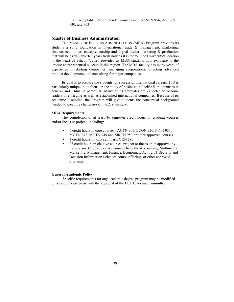are acceptable. Recommended courses include: SEN 956, 992, 909, 930, and 963

# **Master of Business Administration**

THE MASTER OF BUSINESS ADMINISTRATION (MBA) Program provides its students a solid foundation in international trade & management, marketing, finance, economics, entrepreneurship and digital media marketing & production that will be as valuable ten years from now as it is today. The University's location in the heart of Silicon Valley provides its MBA students with exposure to the unique entrepreneurial success in this region. The MBA faculty has many years of experience in starting companies, managing corporations, directing advanced product development, and consulting for major companies.

Its goal is to prepare the students for successful international careers. ITU is particularly unique in its focus on the study of business in Pacific Rim countries in general and China in particular. Many of its graduates are expected to become leaders of emerging as well as established international companies. Because of its academic discipline, the Program will give students the conceptual background needed to meet the challenges of the 21st century.

### **MBA Requirements:**

The completion of at least 36 semester credit hours of graduate courses and/or thesis or project, including:

- 6 credit hours in core courses: ACTN 900, ECON 920, FINN 931, MGTN 943, MGTN 949 and MKTN 953 or other approved courses
- 3 credit hours in joint seminars: GRN 597
- 27 credit hours in elective courses, project or thesis upon approval by the advisor. Choose elective courses from the Accounting, Multimedia Marketing, Management, Finance, Economics, Acting, IT Security and Decision Information Sciences course offerings or other approved offerings.

### **General Academic Policy**

Specific requirements for any academic degree program may be modified on a case by case basis with the approval of the ITU Academic Committee.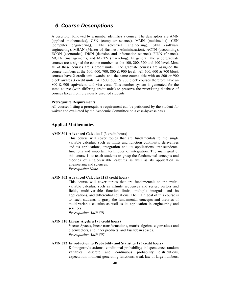# *6. Course Descriptions*

A descriptor followed by a number identifies a course. The descriptors are AMN (applied mathematics), CSN (computer science), MMN (multimedia), CEN (computer engineering), EEN (electrical engineering), SEN (software engineering), MBAN (Master of Business Administration), ACTN (accounting), ECON (economics), DISN (decision and information science), FINN (finance), MGTN (management), and MKTN (marketing). In general, the undergraduate courses are assigned the course numbers at the 100, 200, 300 and 400 level. Most all of these courses are 3 credit units. The graduate courses are assigned the course numbers at the 500, 600, 700, 800 & 900 level. All 500, 600 & 700 block courses have 2 credit unit awards, and the same course title with an 800 or 900 block awards 3 credit units. All 500, 600, & 700 block courses therefore have an 800 & 900 equivalent, and visa versa. This number system is generated for the same course (with differing credit units) to preserve the preexisting database of courses taken from previously enrolled students.

### **Prerequisite Requirements**

All courses listing a prerequisite requirement can be petitioned by the student for waiver and evaluated by the Academic Committee on a case-by-case basis.

# **Applied Mathematics**

**AMN 301 Advanced Calculus I** (3 credit hours)

This course will cover topics that are fundamentals to the single variable calculus, such as limits and function continuity, derivatives and its applications, integration and its applications, transcendental functions and important techniques of integration. The main goal of this course is to teach students to grasp the fundamental concepts and theories of single-variable calculus as well as its application in engineering and sciences.

*Prerequisite: None*

# **AMN 302 Advanced Calculus II** (3 credit hours)

This course will cover topics that are fundamentals to the multivariable calculus, such as infinite sequences and series, vectors and fields, multi-variable function limits, multiple integrals and its applications, and differential equations. The main goal of this course is to teach students to grasp the fundamental concepts and theories of multi-variable calculus as well as its application in engineering and sciences.

*Prerequisite: AMN 301*

### AMN 310 **Linear Algebra I** (3 credit hours)

Vector Spaces, linear transformations, matrix algebra, eigenvalues and eigenvectors, and inner products, and Euclidean spaces. *Prerequisite: AMN 302*

### AMN 322 Introduction to Probability and Statistics I (3 credit hours)

Kolmogorov's axioms; conditional probability; independence; random variables; discrete and continuous probability distributions; expectation; moment-generating functions; weak law of large numbers;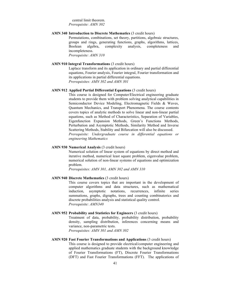central limit theorem. *Prerequisite: AMN 302*

# **AMN 340 Introduction to Discrete Mathematics** (3 credit hours)

Permutations, combinations, set theory, partitions, algebraic structures, groups and rings, generating functions, graphs, algorithms, lattices, Boolean algebra, complexity analysis, completeness and incompleteness. *Prerequisite: AMN 310*

#### **AMN 910 Integral Transformations** (3 credit hours)

Laplace transform and its application in ordinary and partial differential equations, Fourier analysis, Fourier integral, Fourier transformation and its applications in partial differential equations. *Prerequisites: AMN 302 and AMN 301*

# **AMN 912 Applied Partial Differential Equations** (3 credit hours)

This course is designed for Computer/Electrical engineering graduate students to provide them with problem solving analytical capabilities in Semiconductor Device Modeling, Electromagnetic Fields & Waves, Quantum Mechanics, and Transport Phenomena. The course contents covers topics of analytic methods to solve linear and non-linear partial equations, such as Method of Characteristics, Separation of Variables, Eigenfunction Expansion Methods, Green's Functions Methods, Perturbation and Asymptotic Methods, Similarity Method and Inverse Scattering Methods, Stability and Bifurcation will also be discussed. *Prerequisite: Undergraduate course in differential equations or engineering Mathematics*

# **AMN 930 Numerical Analysis** (3 credit hours)

Numerical solution of linear system of equations by direct method and iterative method, numerical least square problem, eigenvalue problem, numerical solution of non-linear systems of equations and optimization problem.

*Prerequisites: AMN 301, AMN 302 and AMN 310*

### **AMN 940 Discrete Mathematics** (3 credit hours)

This course covers topics that are important in the development of computer algorithms and data structures, such as mathematical induction, asymptotic notations, recurrences, infinite series summations, graphs, digraphs, trees and counting combinatorics and discrete probabilities analysis and statistical quality control. *Prerequisite: AMN340*

#### **AMN 952 Probability and Statistics for Engineers** (3 credit hours)

Treatment of data, probability, probability distribution, probability density, sampling distribution, inferences concerning means and variance, non-parametric tests.

*Prerequisites: AMN 301 and AMN 302*

# **AMN 920 Fast Fourier Transformations and Applications** (3 credit hours) This course is designed to provide electrical/computer engineering and applied mathematics graduate students with the background knowledge of Fourier Transformations (FT), Discrete Fourier Transformations (DFT) and Fast Fourier Transformations (FFT). The applications of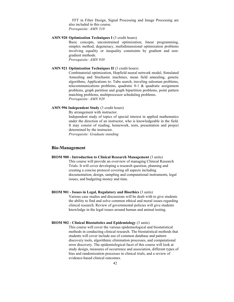FFT in Filter Design, Signal Processing and Image Processing are also included in this course. *Prerequisite: AMN 510*

### **AMN 920 Optimization Techniques I** (3 credit hours)

Basic concepts, unconstrained optimization, linear programming, simplex method, degeneracy, multidimensional optimization problems involving equality or inequality constraints by gradient and nongradient methods.

*Prerequisite: AMN 930*

### **AMN 921 Optimization Techniques II (3 credit hours)**

Combinatorial optimization, Hopfield neural network model, Simulated Annealing and Stochastic machines, mean field annealing, genetic algorithms, Applications to: Tabu search, traveling salesman problems, telecommunications problems, quadratic 0-1 & quadratic assignment problems, graph partition and graph bipartition problems, point pattern matching problems, multiprocessor scheduling problems. *Prerequisite: AMN 920* 

### **AMN 996 Independent Study** (3 credit hours)

By arrangement with instructor.

Independent study of topics of special interest in applied mathematics under the direction of an instructor, who is knowledgeable in the field. It may consist of reading, homework, tests, presentation and project determined by the instructor.

*Prerequisite: Graduate standing*

# **Bio-Management**

**BIOM 900 - Introduction to Clinical Research Management** (3 units)

This course will provide an overview of managing Clinical Research Trials. It will cover developing a research question, planning and creating a concise protocol covering all aspects including documentation, design, sampling and computational instruments, legal issues, and budgeting money and time.

### **BIOM 901 - Issues in Legal, Regulatory and Bioethics** (3 units)

Various case studies and discussions will be dealt with to give students the ability to find and solve common ethical and moral issues regarding clinical research. Review of governmental policies will give students knowledge in the legal issues around human and animal testing.

# **BIOM 902 - Clinical Biostatistics and Epidemiology** (3 units)

This course will cover the various epidemiological and biostatistical methods in conducting clinical research. The biostatistical methods that students will cover include use of common database and pattern discovery tools, algorithmic elimination processes, and computational error discovery. The epidemiological facet of this course will look at study design, measures of occurrence and association, different types of bias and randomization processes in clinical trials, and a review of evidence-based clinical outcomes.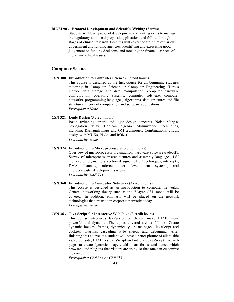### **BIOM 903 - Protocol Development and Scientific Writing** (3 units)

Students will learn protocol development and writing skills to manage the regulatory and fiscal proposal, application, and follow-through stages of clinical research. Lectures will cover the structure of various government and funding agencies, identifying and exercising good judgement on funding decisions, and tracking the financial aspects of moral and ethical issues.

# **Computer Science**

**CSN 300 Introduction to Computer Science** (3 credit hours)

This course is designed as the first course for all beginning students majoring in Computer Science or Computer Engineering. Topics include data storage and data manipulation, computer hardware configuration, operating systems, computer software, computer networks, programming languages, algorithms, data structures and file structures, theory of computation and software applications. *Prerequisite: None*

# **CSN 321 Logic Design** (3 credit hours)

Basic switching circuit and logic design concepts. Noise Margin, propagation delay, Boolean algebra. Minimization techniques, including Karnaugh maps and QM techniques. Combinational circuit design with MUXs, PLAs, and ROMs. *Prerequisite: None*

### **CSN 324 Introduction to Microprocessors** (3 credit hours)

Overview of microprocessor organization, hardware-software tradeoffs. Survey of microprocessor architectures and assembly languages, LSI memory chips, memory section design, LSI I/O techniques, interrupts, DMA channels, microcomputer development systems, and microcomputer development systems. *Prerequisite: CSN 321*

# **CSN 360 Introduction to Computer Networks** (3 credit hours) This course is designed as an introduction to computer networks. General networking theory such as the 7-layer OSL model will be covered. In addition, emphasis will be placed on the network technologies that are used in corporate networks today. *Prerequisite: None*

### **CSN 363 Java Script for Interactive Web Page** (3 credit hours)

This course introduces JavaScript, which can make HTML more powerful and dynamic. The topics covered are as follows: Create dynamic images, frames, dynamically update pages, JavaScript and cookies, plug-ins, cascading style sheets, and debugging. After finishing this course, the student will have a better picture of client side vs. server side, HTML vs. JavaScript and integrate JavaScript into web pages to create dynamic images, add smart forms, and detect which browsers and plug-ins that visitors are using so that one can customize the content.

*Prerequisite: CSN 364 or CSN 381*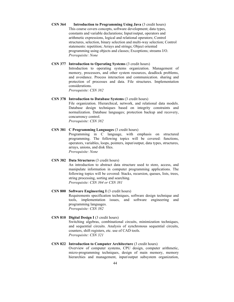**CSN 364 Introduction to Programming Using Java** (3 credit hours) This course covers concepts, software development; data types, constants and variable declarations; Input/output, operators and arithmetic expressions, logical and relational operators; Control structures, selection, binary selection and multi-way selection; Control statements: repetition; Arrays and strings; Object oriented programming using objects and classes; Exceptions; streams I/O. *Prerequisite: None*

### **CSN 377 Introduction to Operating Systems** (3 credit hours)

Introduction to operating systems organization. Management of memory, processors, and other system resources, deadlock problems, and avoidance. Process interaction and communication. sharing and protection of processes and data. File structures. Implementation considerations.

*Prerequisite: CSN 382*

# **CSN 378 Introduction to Database Systems** (3 credit hours)

File organization. Hierarchical, network, and relational data models. Database design techniques based on integrity constraints and normalization. Database languages; protection backup and recovery, concurrency control. *Prerequisite: CSN 382*

**CSN 381 C Programming Languages** (3 credit hours) Programming in C language, with emphasis on structured programming. The following topics will be covered: functions, operators, variables, loops, pointers, input/output, data types, structures, arrays, unions, and disk files. *Prerequisite: None*

# **CSN 382 Data Structures** (3 credit hours)

An introduction to abstract data structure used to store, access, and manipulate information in computer programming applications. The following topics will be covered: Stacks, recursion, queues, lists, trees, string processing, sorting and searching. *Prerequisite: CSN 364 or CSN 381*

# **CSN 800 Software Engineering I** (3 credit hours) Requirements specification techniques, software design technique and tools, implementation issues, and software engineering and programming languages. *Prerequisite: CSN 382*

### **CSN 810 Digital Design I** (3 credit hours)

Switching algebras, combinational circuits, minimization techniques, and sequential circuits. Analysis of synchronous sequential circuits, counters, shift registers, etc. use of CAD tools. *Prerequisite: CSN 321*

# **CSN 822 Introduction to Computer Architecture (3 credit hours)**

Overview of computer systems, CPU design, computer arithmetic, micro-programming techniques, design of main memory, memory hierarchies and management, input/output subsystem organization,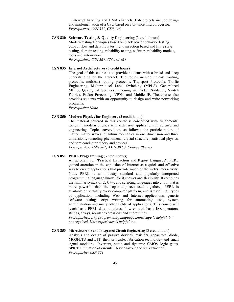interrupt handling and DMA channels. Lab projects include design and implementation of a CPU based on a bit-slice microprocessor. *Prerequisites: CSN 321*, *CSN 324*

**CSN 830 Software Testing & Quality Engineering** (3 credit hours) Modern testing techniques based on black box or behavior testing, control flow and data flow testing, transaction based and finite state testing, domain testing, reliability testing, software reliability models, tools and automation.

*Prerequisites: CSN 364, 374 and 464*

### **CSN 835 Internet Architectures** (3 credit hours)

The goal of this course is to provide students with a broad and deep understanding of the Internet. The topics include unicast routing, protocols, multicast routing protocols, Transport Protocols, Traffic Engineering, Multiprotocol Label Switching (MPLS), Generalized MPLS, Quality of Services, Queuing in Packet Switches, Switch Fabrics, Packet Processing, VPNs, and Mobile IP. The course also provides students with an opportunity to design and write networking programs.

*Prerequisite: None*

#### **CSN 850 Modern Physics for Engineers** (3 credit hours)

The material covered in this course is concerned with fundamental topics in modern physics with extensive applications in science and engineering. Topics covered are as follows: the particle nature of matter, matter waves, quantum mechanics in one dimension and three dimensions, tunneling phenomena, crystal structure, statistical physics, and semiconductor theory and devices.

*Prerequisites: AMN 301, AMN 302 & College Physics*

### **CSN 851 PERL Programming** (3 credit hours)

An acronym for "Practical Extraction and Report Language", PERL gained attention in the explosion of Internet as a quick and effective way to create applications that provide much of the web's interactivity. Now, PERL is an industry standard and popularly interpreted programming language known for its power and flexibility. It combines the familiar syntax of  $C$ ,  $C++$ , and scripting languages into a tool that is more powerful than the separate pieces used together. PERL is available on virtually every computer platform, and is used in all types of application, including Web and Internet applications, generic software testing script writing for automating tests, system administration and many other fields of applications. This course will teach basic PERL data structures, flow control, basic I/O, operators, strings, arrays, regular expressions and subroutines.

*Prerequisites: Any programming language knowledge is helpful, but not required. Unix experience is helpful too.*

**CSN 853 Microelectronic and Integrated Circuit Engineering** (3 credit hours) Analysis and design of passive devices, resistors, capacitors, diode, MOSFETS and BJT, their principle, fabrication technology and small signal modeling. Inverters, static and dynamic CMOS logic gates. SPICE simulation of circuits. Device layout and RC extraction. *Prerequisite: CSN 321*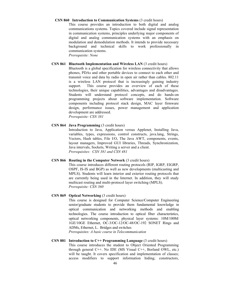### **CSN 860 Introduction to Communication Systems** (3 credit hours)

This course provides an introduction to both digital and analog communications systems. Topics covered include signal representation in communication systems, principles underlying major components of digital and analog communication systems with an emphasis on modulation and demodulation methods. It intends to provide necessary background and technical skills to work professionally in communication systems.

*Prerequisite: None*

### **CSN 861 Bluetooth Implementation and Wireless LAN** (3 credit hours)

Bluetooth is a global specification for wireless connectivity that allows phones, PDAs and other portable devices to connect to each other and transmit voice and data by radio in open air rather than cables. 802.11 is a wireless LAN protocol that is increasingly gaining industry support. This course provides an overview of each of these technologies, their unique capabilities, advantages and disadvantages. Students will understand protocol concepts, and do hands-on programming projects about software implementation. Software components including protocol stack design, MAC layer firmware design, performance issues, power management and application development are addressed. *Prerequisite: CSN 381*

# **CSN 864 Java Programming** (3 credit hours)

Introduction to Java, Application versus Applenet, Installing Java, variables, types, expressions, control constructs, java.lang, Strings, Vectors, Hash tables, File I/O, The Java AWT, components, events, layout managers, Improved GUI libraries, Threads, Synchronization, Java intervals, Sockets, Writing a server and a client. *Prerequisites: CSN 381 and CSN 481*

### **CSN 866 Routing in the Computer Network** (3 credit hours)

This course introduces different routing protocols (RIP, IGRP, EIGRP, OSPF, IS-IS and BGP) as well as new developments (multicasting and MPLS). Students will learn interior and exterior routing protocols that are currently being used in the Internet. In addition, they will study multicast routing and multi-protocol layer switching (MPLS). *Prerequisite: CSN 360*

# **CSN 869 Optical Networking** (3 credit hours)

This course is designed for Computer Science/Computer Engineering senior/graduate students to provide them fundamental knowledge in optical communication and networking methods and enabling technologies. The course introduction to optical fiber characteristics, optical networking components, physical layer systems: 10M/100M/ 1GE/10GE Ethernet, OC-3/OC-12/OC-48/OC-192 SONET Rings and ADMs, Ethernet, L. Bridges and switches

*Prerequisites: A basic course in Telecommunication*

# **CSN 881 Introduction to C++ Programming Language** (3 credit hours) This course introduces the student to Object Oriented Programming through general C++. No IDE (MS Visual C++, Borland OWL, etc.) will be taught. It covers specification and implementation of classes; access modifiers to support information hiding; constructors,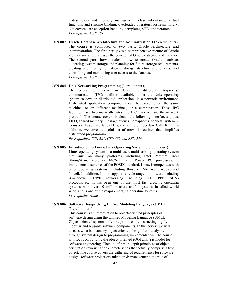destructors and memory management; class inheritance, virtual functions and runtime binding; overloaded operators, iostream library. Not covered are exception-handling, templates, STL, and iterators. *Prerequisite: CSN 381*

**CSN 882 Oracle Database Architecture and Administration I** (3 credit hours) The course is composed of two parts: Oracle Architecture and Administration. The first part gives a comprehensive picture of Oracle architecture and discusses the concept of Oracle database and instance. The second part shows students how to create Oracle database, allocating system storage and planning for future storage requirements, creating and modifying database storage structure and objects, and controlling and monitoring user access to the database. *Prerequisite: CSN 378*

### **CSN 884 Unix Networking Programming** (3 credit hours)

The course will cover in detail the different interprocess communication (IPC) facilities available under the Unix operating system to develop distributed applications in a network environment. Distributed application components can be executed on the same machine, or on different machines, or a combination. These IPC facilities have two main attributes, the IPC interface and the network protocol. The course covers in detail the following interfaces: pipes, FIFO, shared memory, message queues, semaphores, sockets, system V Transport Layer Interface (TLI), and Remote Procedure Calls(RPC). In addition, we cover a useful set of network routines that simplifies distributed programming.

*Prerequisites: CSN 381*, *CSN 382 and SEN 556*

# **CSN 885 Introduction to Linux/Unix Operating System** (3 credit hours)

Linux operating system is a multi-user, multi-tasking operating system that runs on many platforms, including Intel Pentium, Intel Strong/Arm, Motorola MC68K, and Power PC processors. It implements a superset of the POSIX standard. Linux interoperates with other operating systems, including those of Microsoft, Apple, and Novell. In addition, Linux supports a wide range of software including X-windows, TCP/IP networking (including SLIP, PPP, ISDN) protocols etc. It has been one of the most fast growing operating systems with over 10 million users and/or systems installed world wide, and is one of the major emerging operating systems. *Prerequisite: None*

# **CSN 886 Software Design Using Unified Modeling Language (UML)**

(3 credit hours) This course is an introduction to object-oriented principles of software design using the Unified Modeling Language (UML). Object oriented systems offer the promise of constructing highly modular and reusable software components. In this course we will discuss what is meant by object oriented design from analysis, through system design to programming implementation. The course will focus on building the object-oriented (OO) analysis model for software engineering. Then it defines in depth principles of object orientation reviewing the characteristics that actually comprise a true object. The course covers the gathering of requirements for software design, software project organization & management, the role of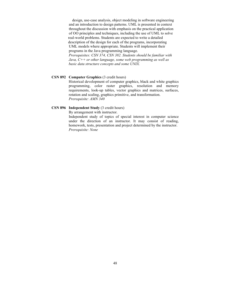design, use-case analysis, object modeling in software engineering and an introduction to design patterns. UML is presented in context throughout the discussion with emphasis on the practical application of OO principles and techniques, including the use of UML to solve real-world problems. Students are expected to write a detailed description of the design for each of the programs, incorporating UML models where appropriate. Students will implement their programs in the Java programming language. *Prerequisites: CSN 374, CSN 382. Students should be familiar with*

*Java, C++ or other language, some web programming as well as basic data structure concepts and some UNIX.*

### **CSN 892 Computer Graphics** (3 credit hours)

Historical development of computer graphics, black and white graphics programming, color raster graphics, resolution and memory requirements, look-up tables, vector graphics and matrices, surfaces, rotation and scaling, graphics primitive, and transformation. *Prerequisite: AMN 340*

# **CSN 896 Independent Study** (3 credit hours)

By arrangement with instructor.

Independent study of topics of special interest in computer science under the direction of an instructor. It may consist of reading, homework, tests, presentation and project determined by the instructor. *Prerequisite: None*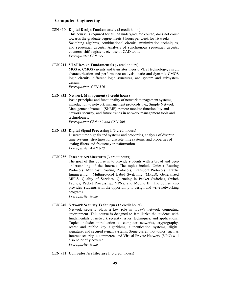# **Computer Engineering**

# CSN 410 **Digital Design Fundamentals** (3 credit hours)

This course is required for all an undergraduate course, does not count towards the graduate degree meets 3 hours per week for 16 weeks. Switching algebras, combinational circuits, minimization techniques, and sequential circuits. Analysis of synchronous sequential circuits, counters, shift registers, etc. use of CAD tools. *Prerequisite: CSN 321*

# **CEN 911 VLSI Design Fundamentals** (3 credit hours)

MOS & CMOS circuits and transistor theory, VLSI technology, circuit characterization and performance analysis, static and dynamic CMOS logic circuits, different logic structures, and system and subsystem design.

*Prerequisite: CEN 510*

# **CEN 932 Network Management** (3 credit hours)

Basic principles and functionality of network management systems, introduction to network management protocols, i.e., Simple Network Management Protocol (SNMP), remote monitor functionality and network security, and future trends in network management tools and technologies.

*Prerequisite: CSN 382 and CSN 360*

# **CEN 933 Digital Signal Processing I** (3 credit hours)

Discrete time signals and systems and properties, analysis of discrete time systems, structures for discrete time systems, and properties of analog filters and frequency transformations. *Prerequisite: AMN 620*

### **CEN 935 Internet Architectures** (3 credit hours)

The goal of this course is to provide students with a broad and deep understanding of the Internet. The topics include Unicast Routing Protocols, Multicast Routing Protocols, Transport Protocols, Traffic Engineering, Multiprotocol Label Switching (MPLS), Generalized MPLS, Quality of Services, Queueing in Packet Switches, Switch Fabrics, Packet Processing,, VPNs, and Mobile IP. The course also provides students with the opportunity to design and write networking programs.

*Prerequisite: None*

### **CEN 940 Network Security Techniques** (3 credit hours)

Network security plays a key role in today's network computing environment. This course is designed to familiarize the students with fundamentals of network security issues, techniques, and applications. Topics include: introduction to computer networks, cryptography, secret and public key algorithms, authentication systems, digital signature, and secured e-mail systems. Some current hot topics, such as Internet security, e-commerce, and Virtual Private Network (VPN) will also be briefly covered. *Prerequisite: None*

#### **CEN 951 Computer Architecture I** (3 credit hours)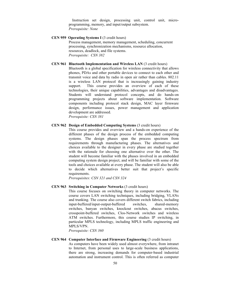Instruction set design, processing unit, control unit, microprogramming, memory, and input/output subsystem. *Prerequisite: None*

# **CEN 959 Operating Systems I** (3 credit hours)

Process management, memory management, scheduling, concurrent processing, synchronization mechanisms, resource allocation, resources, deadlock, and file systems. *Prerequisite: CSN 382*

### **CEN 961 Bluetooth Implementation and Wireless LAN** (3 credit hours)

Bluetooth is a global specification for wireless connectivity that allows phones, PDAs and other portable devices to connect to each other and transmit voice and data by radio in open air rather than cables. 802.11 is a wireless LAN protocol that is increasingly gaining industry support. This course provides an overview of each of these technologies, their unique capabilities, advantages and disadvantages. Students will understand protocol concepts, and do hands-on programming projects about software implementation. Software components including protocol stack design, MAC layer firmware design, performance issues, power management and application development are addressed. *Prerequisite: CSN 381*

### **CEN 962 Design of Embedded Computing Systems** (3 credit hours)

This course provides and overview and a hands-on experience of the different phases of the design process of the embedded computing systems. The design phases span the process spectrum from requirements through manufacturing phases. The alternatives and choices available to the designer in every phase are studied together with the rationale for choosing one alternative over the other. The student will become familiar with the phases involved in an embedded computing system design project, and will be familiar with some of the tools and choices available at every phase. The student will also be able to decide which alternatives better suit that project's specific requirements.

*Prerequisites: CSN 321 and CSN 324*

# **CEN 963 Switching in Computer Networks** (3 credit hours)

This course focuses on switching theory in computer networks. The course covers LAN switching techniques, including bridging, VLANs and trunking. The course also covers different switch fabrics, including input-buffered/input-output-buffered switches, shared-memory switches, banyan switches, knockout switches, abacus switches, crosspoint-buffered switches, Clos-Network switches and wireless ATM switches. Furthermore, this course studies IP switching, in particular MPLS technology, including MPLS traffic engineering and MPLS/VPN.

*Prerequisite: CSN 360*

### **CEN 964 Computer Interface and Firmware Engineering** (3 credit hours)

As computers have been widely used almost everywhere, from intranet to Internet, from personal uses to large-scale business applications, there are strong, increasing demands for computer-based industrial automation and instrument control. This is often referred as computer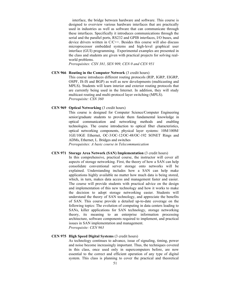interface, the bridge between hardware and software. This course is designed to overview various hardware interfaces that are practically used in industries as well as software that can communicate through these interfaces. Specifically it introduces communications through the serial and the parallel ports, RS232 and GPIB interfaces, I/O buses, and device drivers written in C/C++. Besides this course will also discuss microprocessor embedded systems and high-level graphical user interface (GUI) programming. Experimental examples are presented in the class and students are given with practical projects for solving realworld problems.

*Prerequisites: CSN 381, SEN 909, CEN 0 and CEN 951*

### **CEN 966 Routing in the Computer Network** (3 credit hours)

This course introduces different routing protocols (RIP, IGRP, EIGRP, OSPF, IS-IS and BGP) as well as new developments (multicasting and MPLS). Students will learn interior and exterior routing protocols that are currently being used in the Internet. In addition, they will study multicast routing and multi-protocol layer switching (MPLS). *Prerequisite: CSN 360*

### **CEN 969 Optical Networking** (3 credit hours)

This course is designed for Computer Science/Computer Engineering senior/graduate students to provide them fundamental knowledge in optical communication and networking methods and enabling technologies. The course introduction to optical fiber characteristics, optical networking components, physical layer systems: 10M/100M/ 1GE/10GE Ethernet, OC-3/OC-12/OC-48/OC-192 SONET Rings and ADMs, Ethernet, L. Bridges and switches

*Prerequisites: A basic course in Telecommunication*

# **CEN 971 Storage Area Network (SAN) Implementation** (3 credit hours)

In this comprehensive, practical course, the instructor will cover all aspects of storage networking. First, the theory of how a SAN can help consolidate conventional server storage onto networks will be explained. Understanding includes how a SAN can help make applications highly available no matter how much data is being stored, which, in turn, makes data access and management faster and easier. The course will provide students with practical advice on the design and implementation of this new technology and how it works to make the decision to adopt storage networking easier. Students will understand the theory of SAN technology, and appreciate the benefits of SAN. This course provide a detailed up-to-date coverage on the following topics: The evolution of computing in data centers leading to SANs, killer applications for SAN technology, storage networking theory, its meaning to an enterprise information processing architecture, software components required to implement, and practical issues in SAN implementation and management.

*Prerequisite: CEN 963*

### **CEN 975 High Speed Digital Systems** (3 credit hours)

As technology continues to advance, issue of signaling, timing, power and noise become increasingly important. Thus, the techniques covered in this class, once used only in supercomputers before, are now essential to the correct and efficient operation of any type of digital system. This class is planning to cover the practical and theoretical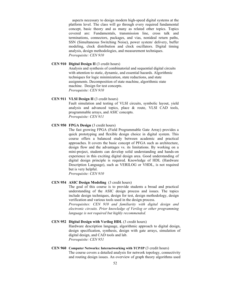aspects necessary to design modern high-speed digital systems at the platform level. The class will go through every required fundamental concept, basic theory and as many as related other topics. Topics covered are: Fundamentals, transmission line, cross talk and terminations, connectors, packages, and vias, nonideal return paths, SSN (Simultaneous Switching Noise), power system/ delivery, buffer modeling, clock distribution and clock oscillators. Digital timing analysis, design methodologies, and measurement techniques. *Prerequisite: CEN 910*

# **CEN 910 Digital Design II** (3 credit hours)

Analysis and synthesis of combinatorial and sequential digital circuits with attention to static, dynamic, and essential hazards. Algorithmic techniques for logic minimization, state reductions, and state assignments. Decomposition of state machine, algorithmic state machine. Design for test concepts. *Prerequisite: CEN 910*

# **CEN 911 VLSI Design II** (3 credit hours)

Fault simulation and testing of VLSI circuits, symbolic layout, yield analysis and advanced topics, place & route, VLSI CAD tools, programmable arrays, and ASIC concepts. *Prerequisite: CEN 911*

# **CEN 950 FPGA Design** (3 credit hours)

The fast growing FPGA (Field Programmable Gate Array) provides a quick prototyping and flexible design choice in digital system. This course offers a balanced study between academic and practical approaches. It covers the basic concept of PFGA such as architecture, design flow and the advantages vs. its limitations. By working on a mini-project, students can develop solid understanding and hands-on experience in this exciting digital design area. Good understanding of digital design principle is required. Knowledge of HDL (Hardware Description Language), such as VERILOG or VHDL, is not required but is very helpful.

# *Prerequisite: CEN 910*

# **CEN 954 ASIC Design Modeling** (3 credit hours)

The goal of this course is to provide students a broad and practical understanding of the ASIC design process and issues. The topics include design techniques, design for test, design methodology, design verification and various tools used in the design process.

*Prerequisites: CEN 910 and familiarity with digital design and electronic circuits. Prior knowledge of Verilog or other programming language is not required but highly recommended.*

### **CEN 952 Digital Design with Verilog HDL** (3 credit hours)

Hardware description language, algorithmic approach to digital design, design specification, synthesis, design with gate arrays, simulation of digital design, and CAD tools and lab. *Prerequisite: CEN 951*

# **CEN 960 Computer Networks: Internetworking with TCP/IP** (3 credit hours) The course covers a detailed analysis for network topology, connectivity and routing design issues. An overview of graph theory algorithms used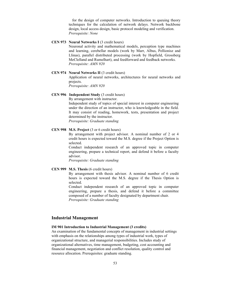for the design of computer networks. Introduction to queuing theory techniques for the calculation of network delays. Network backbone design, local access design, basic protocol modeling and verification. *Prerequisite: None*

### **CEN 973 Neural Networks I** (3 credit hours)

Neuronal activity and mathematical models, perception type machines and learning, cerebellar models (work by Marr, Albus, Pellionisz and Llinas), parallel distributed processing (work by Hopfield, Grossberg MeClelland and Rumelhart), and feedforward and feedback networks. *Prerequisite: AMN 920*

#### **CEN 974 Neural Networks II** (3 credit hours)

Application of neural networks, architectures for neural networks and projects.

*Prerequisite: AMN 920*

# **CEN 996 Independent Study** (3 credit hours)

By arrangement with instructor.

Independent study of topics of special interest in computer engineering under the direction of an instructor, who is knowledgeable in the field. It may consist of reading, homework, tests, presentation and project determined by the instructor.

*Prerequisite: Graduate standing*

# **CEN 998 M.S. Project** (3 or 6 credit hours)

By arrangement with project advisor. A nominal number of 2 or 4 credit hours is expected toward the M.S. degree if the Project Option is selected.

Conduct independent research of an approved topic in computer engineering, prepare a technical report, and defend it before a faculty advisor.

*Prerequisite: Graduate standing*

### **CEN 999 M.S. Thesis** (6 credit hours)

By arrangement with thesis advisor. A nominal number of 6 credit hours is expected toward the M.S. degree if the Thesis Option is selected.

Conduct independent research of an approved topic in computer engineering, prepare a thesis, and defend it before a committee composed of a number of faculty designated by department chair. *Prerequisite: Graduate standing*

# **Industrial Management**

# **IM 901 Introduction to Industrial Management (3 credits)**

An examination of the fundamental concepts of management in industrial settings with emphasis on the relationships among types of industrial work, types of organizational structure, and managerial responsibilities. Includes study of organizational alternatives, time management, budgeting, cost accounting and financial management, negotiation and conflict resolution, quality control and resource allocation. Prerequisites: graduate standing.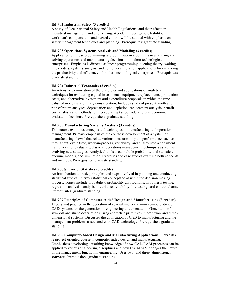#### **IM 902 Industrial Safety (3 credits)**

A study of Occupational Safety and Health Regulations, and their effect on industrial management and engineering. Accident investigation, liability, workman's compensation and hazard control will be studied with emphasis on safety management techniques and planning. Prerequisites: graduate standing.

# **IM 903 Operations Systems Analysis and Modeling (3 credits)**

Application of linear programming and optimization algorithms in analyzing and solving operations and manufacturing decisions in modern technological enterprises. Emphasis is directed at linear programming, queuing theory, waiting line models, systems analysis, and computer simulation applications for enhancing the productivity and efficiency of modern technological enterprises. Prerequisites: graduate standing.

### **IM 904 Industrial Economics (3 credits)**

An intensive examination of the principles and applications of analytical techniques for evaluating capital investments, equipment replacements. production costs, and alternative investment and expenditure proposals in which the time value of money is a primary consideration. Includes study of present worth and rate of return analyses, depreciation and depletion, replacement analysis, benefitcost analysis and methods for incorporating tax considerations in economic evaluation decisions. Prerequisites: graduate standing.

### **IM 905 Manufacturing Systems Analysis (3 credits)**

This course examines concepts and techniques in manufacturing and operations management. Primary emphasis of the course is development of a system of manufacturing "laws" that relate various measures of plant performance, such as throughput, cycle time, work-in-process, variability, and quality into a consistent framework for evaluating classical operations management techniques as well as evolving new strategies. Analytical tools used include probability and statistics, queuing models, and simulation. Exercises and case studies examine both concepts and methods. Prerequisites: graduate standing.

#### **IM 906 Survey of Statistics (3 credits)**

An introduction to basic principles and steps involved in planning and conducting statistical studies. Surveys statistical concepts to assist in the decision making process. Topics include probability, probability distributions, hypothesis testing, regression analysis, analysis of variance, reliability, life testing, and control charts. Prerequisites: graduate standing.

#### **IM 907 Principles of Computer-Aided Design and Manufacturing (3 credits)**

Theory and practice in the operation of several micro and mini computer-based CAD systems for the generation of engineering documentation. Generation of symbols and shape descriptions using geometric primitives in both two- and threedimensional systems. Discusses the application of CAD to manufacturing and the management problems associated with CAD technology. Prerequisites: graduate standing.

# **IM 908 Computer-Aided Design and Manufacturing Applications (3 credits)**

A project-oriented course in computer-aided design and manufacturing. Emphasizes developing a working knowledge of how CAD/CAM processes can be applied to various engineering disciplines and how CAD/CAM changes the nature of the management function in engineering. Uses two- and three- dimensional software. Prerequisites: graduate standing.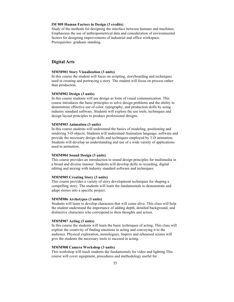### **IM 909 Human Factors in Design (3 credits)**

Study of the methods for designing the interface between humans and machines. Emphasizes the use of anthropometrical data and consideration of environmental factors for designing improvements of industrial and office workspace. Prerequisites: graduate standing.

# **Digital Arts**

### **MMM901 Story Visualization (3 units)**

In this course the student will focus on scripting, storyboarding and techniques used in creating and portraying a story. The student will focus on process rather than production.

### **MMM902 Design (3 units)**

In this course students will use design as form of visual communication. This course introduces the basic principles to solve design problems and the ability to demonstrate effective use of color, typography, and production skills by using industry standard software. Students will explore the use tools, techniques and design layout principles to produce professional designs.

#### **MMM903 Animation (3 units)**

In this course students will understand the basics of modeling, positioning and rendering 3-D objects. Students will understand Animation language, software and provide the necessary design skills and techniques employed by 3-D animation. Students will develop an understanding and use of a wide variety of applications used in animation.

# **MMM904 Sound Design (3 units)**

This course provides an introduction to sound design principles for multimedia in a broad and diverse manner. Students will develop skills in recording, digital editing and mixing with industry standard software and techniques.

#### **MMM905 Creating Story (3 units)**

This course provides a variety of story development techniques for shaping a compelling story. The students will learn the fundamentals to demonstrate and adapt stories into a specific project.

### **MMM906 Archetypes (3 units)**

Students will learn to develop characters that will come alive. This class will help the student understand the importance of adding depth, detailed background, and distinctive characters who correspond to their thoughts and action.

# **MMM907 Acting (3 units)**

In this course the students will learn the basic techniques of acting. This class will explore the creativity of finding emotions in acting and conveying it to the audience. Physical exploration, monologues, Improv and rehearsed scenes will give the students the necessary tools to succeed in acting.

# **MMM908 Camera Workshop (3 units)**

This workshop will teach students the fundamentals for video and lighting.This course will cover equipment, procedures and methodology useful for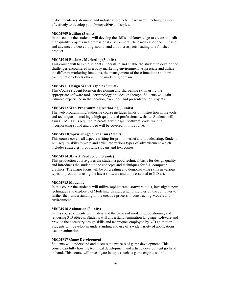documentaries, dramatic and industrial projects. Learn useful techniques more effectively to develop your  $\hat{a} \in \hat{c}$  and styles.

### **MMM909 Editing (3 units)**

In this course the students will develop the skills and knowledge to create and edit high quality projects in a professional environment. Hands-on experience in basic and advanced video editing, sound, and all other aspects leading to a finished product.

### **MMM910 Business Marketing (3 units)**

This course will help the students understand and enable the student to develop the challenges encountered in a busy marketing environment. Appreciate and utilize the different marketing functions, the management of these functions and how each function effects others in the marketing domain.

### **MMM911 Design Web/Graphic (3 units)**

This Course student focus on developing and sharpening skills using the appropriate software tools, terminology and design theorys. Students will gain valuable experience in the ideation, execution and presentation of projects.

#### **MMM912 Web Programming/Authoring (3 units)**

The web programming/authoring course includes hands on instruction in the tools and techniques in making a high quality and professional website. Students will gain HTML skills required to create a web page. Software, code, writing, incorporating sound and video will be covered in this course.

# **MMM913Copywriting/Journalism (3 units)**

This course covers all aspects writing for print, internet and broadcasting. Student will acquire skills to write and articulate various types of advertisement which includes strategies, proposals, slogans and text copies.

### **MMM914 3D Art Production (3 units)**

This production course gives the student a good technical basis for design quality and introduces the student to the concepts and techniques for 3-D computer graphics. The major focus will be on creating and demonstrating skills in various types of production using the latest software and tools essential to 3-D art.

# **MMM915 Modeling**

In this course the students will utilize sophisticated software tools, investigate new techniques and explore 3-d Modeling. Using design principles on the computer to further their understanding of the creative process in constructing Models and environment.

#### **MMM916 Animation (3 units)**

In this course students will understand the basics of modeling, positioning and rendering 3-D objects. Students will understand Animation language, software and provide the necessary design skills and techniques employed by 3-D animation. Students will develop an understanding and use of a wide variety of applications used in animation.

### **MMM917 Game Development**

Students will understand and discuss the process of game development. This course carefully how the technical development and artistic development go hand in hand. This course will investigate in topics such as game engine, sound ,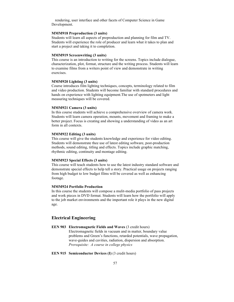rendering, user interface and other facets of Computer Science in Game Development.

# **MMM918 Preproduction (3 units)**

Students will learn all aspects of preproduction and planning for film and TV. Students will experience the role of producer and learn what it takes to plan and start a project and taking it to completion.

#### **MMM919 Screenwriting (3 units)**

This course is an introduction to writing for the screens. Topics include dialogue, characterization, plot, format, structure and the writing process. Students will learn to examine films from a writers point of view and demonstrate in writing exercises.

### **MMM920 Lighting (3 units)**

Course introduces film lighting techniques, concepts, terminology related to film and video production. Students will become familiar with standard procedures and hands on experience with lighting equipment.The use of spotmeters and light measuring techniques will be covered.

### **MMM921 Camera (3 units)**

In this course students will achieve a comprehensive overview of camera work. Students will learn camera operation, mounts, movement and framing to make a better project. Focus is creating and showing a understanding of video as an art form in all contexts.

# **MMM922 Editing (3 units)**

This course will give the students knowledge and experience for video editing. Students will demonstrate thee use of latest editing software, post-production methods, sound editing, titling and effects. Topics include graphic matching, rhythmic editing, continuity and montage editing.

### **MMM923 Special Effects (3 units)**

This course will teach students how to use the latest industry standard software and demonstrate special effects to help tell a story. Practical usage on projects ranging from high budget to low budget films will be covered as well as enhancing footage.

# **MMM924 Portfolio Production**

In this course the students will compose a mulit-media portfolio of pass projects and work pieces in DVD format. Students will learn how the portfolio will apply to the job market environments and the important role it plays in the new digital age.

# **Electrical Engineering**

**EEN 903 Electromagnetic Fields and Waves** (3 credit hours) Electromagnetic fields in vacuum and in matter, boundary value problems and Green's functions, retarded potentials, wave propagation, wave-guides and cavities, radiation, dispersion and absorption. *Prerequisite: A course in college physics*

# **EEN 915 Semiconductor Devices (I)** (3 credit hours)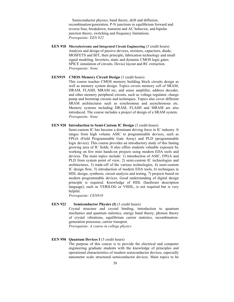Semiconductor physics, band theory, drift and diffusion, recombination/generation, P-N junctions in equilibrium forward and reverse bias, breakdown, transient and AC behavior, and bipolar junction theory, switching and frequency limitations. *Prerequisite: EEN 922*

**EEN 918 Microelectronic and Integrated Circuit Engineering** (3 credit hours) Analysis and design of passive devices, resistors, capacitors, diode, MOSFETS and BJT, their principle, fabrication technology and small signal modeling. Inverters, static and dynamic CMOS logic gates. SPICE simulation of circuits. Device layout and RC extraction. *Prerequisite: None*

# **EEN919** CMOS Memory Circuit Design (3 credit hours) This course teaches CMOS memory building block circuits design as well as memory system design. Topics covers memory cell of SRAM, DRAM, FLASH, MRAM etc, and sense amplifier, address decoder, and other memory peripheral circuits, such as voltage regulator, charge pump and bootstrap circuits and techniques. Topics also cover different SRAM architectures such as synchronous and asynchronous etc. Memory systems including DRAM, FLASH and MRAM are also introduced. The course includes a project of design of a SRAM system. *Prerequisite: None*

# **EEN 920 Introduction to Semi-Custom IC Design (3 credit hours)**

Semi-custom IC has become a dominant driving force in IC industry. It ranges from high volume ASIC to programmable devices, such as FPGA (Field Programmable Gate Array) and PLD (programmable logic device). This course provides an introductory study of this fasting growing area of IC fields. It also offers students valuable exposure by working on few mini hands-on projects using modern EDA tools and devices. The main topics include: 1) introduction of ASIC, FPGA and PLD from system point of view, 2) semi-custom IC technologies and architectures, 3) trade-off of the various technologies, 4) semi-custom IC design flow, 5) introduction of modern EDA tools, 6) techniques in HDL design, synthesis, circuit analysis and testing, 7) projects based on modern programmable devices. Good understanding of digital design principle is required. Knowledge of HDL (hardware description language), such as VERILOG or VHDL, is not required but is very helpful.

*Prerequisite: CEN910*

#### **EEN 922 Semiconductor Physics (I)** (3 credit hours)

Crystal structure and crystal binding, introduction to quantum mechanics and quantum statistics, energy band theory, phonon theory of crystal vibrations, equilibrium carrier statistics, recombinationgeneration processes, carrier transport.

*Prerequisite: A course in college physics*

# **EEN 950 Quantum Devices I (3 credit hours)**

The purpose of this course is to provide the electrical and computer engineering graduate students with the knowledge of principles and operational characteristics of modern semiconductor devices, especially nanometer scale structured semiconductor devices. Main topics to be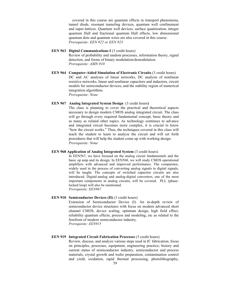covered in this course are quantum effects in transport phenomena, tunnel diode, resonant tunneling devices, quantum well confinement and super-lattices. Quantum well devices, surface quantization, integer quantum Hall and fractional quantum Hall effects, low dimensional quantum dots and quantum wires are also covered in this course. *Prerequisite: EEN 922 or EEN 923*

# **EEN 963 Digital Communications I** (3 credit hours) Review of probability and random processes, information theory, signal detection, and forms of binary modulation/demodulation. *Prerequisite: AMN 910*

**EEN 964 Computer-Aided Simulation of Electronic Circuits** (3 credit hours) DC and AC analyses of linear networks, DC analysis of nonlinear resistive networks, linear and nonlinear capacitors and inductors, circuit models for semiconductor devices, and the stability region of numerical integration algorithms. *Prerequisite: None*

### **EEN 967 Analog Integrated System Design** (3 credit hours**)**

The class is planning to cover the practical and theoretical aspects necessary to design modern CMOS analog integrated circuit. The class will go through every required fundamental concept, basic theory and as many as related other topics. As technology continues to advance and integrated circuit becomes more complex, it is crucial to know "how the circuit works." Thus, the techniques covered in this class will teach the student to learn to analyze the circuit and will set forth procedures that will help the student come up with working design. *Prerequisite: None*

# **EEN 968 Application of Analog Integrated System (3 credit hours)**

In EEN567, we have focused on the analog circuit fundamentals and the basic op amp and its design. In EEN568, we will study CMOS operational amplifiers with advanced and improved performance. The comparator, widely used in the process of converting analog signals to digital signals, will be taught. The concepts of switched capacitor circuits are also introduced. Digital-analog and analog-digital converters, one of the most important components in analog circuits, will be covered. PLL (phaselocked loop) will also be mentioned. *Prerequisite: EEN967*

# **EEN 910 Semiconductor Devices (II) (3 credit hours)**

Extension of Semiconductor Device (I). An in-depth review of semiconductor device structures with focus on modern advanced short channel CMOS, device scaling, optimum design, high field effect, reliability quantum effects, process and modeling, etc as related to the forefront of modern semiconductor industry. *Prerequisite: EEN915*

# **EEN 919 Integrated Circuit Fabrication Processes** (3 credit hours)

Review, discuss, and analyze various steps used in IC fabrication; focus on principles, processes, equipment, engineering practice; history and current status of semiconductor industry, semiconductor and process materials, crystal growth and wafer preparation, contamination control and yield, oxidation, rapid thermal processing, photolithography,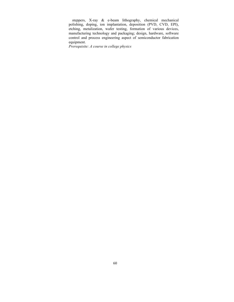steppers, X-ray & e-beam lithography, chemical mechanical polishing, doping, ion implantation, deposition (PVD, CVD, EPI), etching, metalization, wafer testing, formation of various devices, manufacturing technology and packaging; design, hardware, software control and process engineering aspect of semiconductor fabrication equipment.

*Prerequisite: A course in college physics*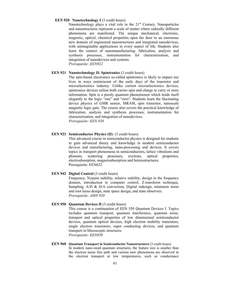### **EEN 920 Nanotechnology I** (3 credit hours)

Nanotechnology plays a vital role in the 21<sup>st</sup> Century. Nanoparticles and nanostructures represent a scale of matter where radically different phenomena are manifested. The unique mechanical, electronic, magnetic, optical, chemical properties open the door to an enormous new domain of engineered nanostructures and integrated nanodevices, with unimaginable applications in every aspect of life. Students also learn the context of nanomanufacturing: fabrication, analysis and synthesis processes, instrumentation for characterization, and integration of nanodevices and systems. *Prerequisite: EEN922*

### **EEN 921 Nanotechnology II: Spintronics** (3 credit hours)

The spin-based electronics so-called spintronics is likely to impact our lives in ways reminiscent of the early days of the transistor and microelectronics industry. Unlike current microelectronics devices, spintronics devices utilize both carrier spin and charge to carry or store information. Spin is a purely quantum phenomenon which lends itself elegantly to the logic "one" and "zero". Students learn the fascinating device physics of GMR sensor, MRAM, spin transistor, nanoscale magnetic logic gate. The course also covers the practical knowledge of fabrication, analysis and synthesis processes, instrumentation for characterization, and integration of nanodevices. *Prerequisite: EEN 920*

# **EEN 923 Semiconductor Physics (II)** (3 credit hours)

This advanced course in semiconductor physics is designed for students to gain advanced theory and knowledge in modern semiconductor devices and manufacturing, nano-processing and devices. It covers topics in transport phenomena in semiconductors, lattice vibrations and phonons, scattering processes, excitons, optical properties, electroabsorption, magnetoabsorption and heterostructures. Prerequisite: EEN622

### **EEN 942 Digital Control** (3 credit hours)

Frequency, Nyquist stability, relative stability, design in the frequency domain, introduction to computer control, Z-transform technique, Sampling, A/D & D/A conversion, Digital redesign, minimum norm and root locus design, state space design, and state observers. *Prerequisite: AMN 920*

#### **EEN 950 Ouantum Devices II** (3 credit hours)

This course is a continuation of EEN 550 Quantum Devices I. Topics includes quantum transport, quantum interference, quantum noise, transport and optical properties of low dimensional semiconductor devices, quantum optical devices, high electron mobility transistors, single electron transistors, super conducting devices, and quantum transport in Mesoscopic structures. *Prerequisite: EEN950*

### **EEN 960 Ouantum Transport in Semiconductor Nanostructures (3 credit hours)** In modern nano-sized quantum structures, the feature size is smaller than the electron mean free path and various new phenomena are observed in the electron transport at low temperatures, such as conductance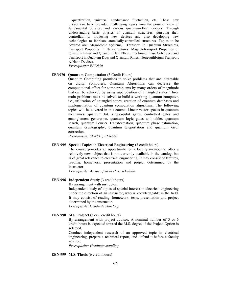quantization, universal conductance fluctuation, etc. These new phenomena have provided challenging topics from the point of view of fundamental physics, and various quantum-effect devices. Through understanding basic physics of quantum structures, pursuing their controllability, proposing new devices and also developing new technologies to fabricate atomically-controlled structures. Topics to be covered are: Mesoscopic Systems, Transport in Quantum Structures, Transport Properties in Nanostructures, Magnetotransport Properties of Quantum Films and Quantum Hall Effect, Electronic Phase Coherence and Transport in Quantum Dots and Quantum Rings, Nonequilibrium Transport & Nano Devices.

*Prerequisite: EEN950*

### **EEN970 Quantum Computation (3 Credit Hours)**

Quantum Computing promises to solve problems that are intractable on digital computers. Quantum Algorithms can decrease the computational effort for some problems by many orders of magnitude that can be achieved by using superposition of entangled states. Three main problems must be solved to build a working quantum computer, i.e., utilization of entangled states, creation of quantum databases and implementation of quantum computation algorithms. The following topics will be covered in this course: Linear vector spaces in quantum mechanics, quantum bit, single-qubit gates, controlled gates and entanglement generation, quantum logic gates and adder, quantum search, quantum Fourier Transformation, quantum phase estimation, quantum cryptography, quantum teleportation and quantum error correction.

*Prerequisite: EEN810, EEN860*

#### **EEN 995** Special Topics in Electrical Engineering (3 credit hours)

The course provides an opportunity for a faculty member to offer a relatively new subject that is not currently available in the catalog, but is of great relevance to electrical engineering. It may consist of lectures, reading, homework, presentation and project determined by the instructor.

*Prerequisite: As specified in class schedule*

# **EEN 996 Independent Study** (3 credit hours)

By arrangement with instructor.

Independent study of topics of special interest in electrical engineering under the direction of an instructor, who is knowledgeable in the field. It may consist of reading, homework, tests, presentation and project determined by the instructor.

*Prerequisite: Graduate standing*

# **EEN 998 M.S. Project** (3 or 6 credit hours)

By arrangement with project advisor. A nominal number of 3 or 6 credit hours is expected toward the M.S. degree if the Project Option is selected.

Conduct independent research of an approved topic in electrical engineering, prepare a technical report, and defend it before a faculty advisor.

*Prerequisite: Graduate standing*

### **EEN 999 M.S. Thesis** (6 credit hours)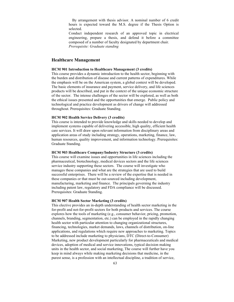By arrangement with thesis advisor. A nominal number of 6 credit hours is expected toward the M.S. degree if the Thesis Option is selected.

Conduct independent research of an approved topic in electrical engineering, prepare a thesis, and defend it before a committee composed of a number of faculty designated by department chair. *Prerequisite: Graduate standing*

## **Healthcare Management**

#### **HCM 901 Introduction to Healthcare Management (3 credits)**

This course provides a dynamic introduction to the health sector, beginning with the burden and distribution of disease and current patterns of expenditures. While the emphasis will be on the American system, a global context will be developed. The basic elements of insurance and payment, service delivery, and life sciences products will be described, and put in the context of the unique economic structure of the sector. The intense challenges of the sector will be explored, as well as both the ethical issues presented and the opportunities that emerge. Public policy and technological and practice development as drivers of change will addressed throughout. Prerequisites: Graduate Standing.

### **HCM 902 Health Service Delivery (3 credits)**

This course is intended to provide knowledge and skills needed to develop and implement systems capable of delivering accessible, high quality, efficient health care services. It will draw upon relevant information from disciplinary areas and application areas of study including strategy, operations, marketing, finance, law, human resources, quality improvement, and information technology. Prerequisites: Graduate Standing.

### **HCM 903 Healthcare Company/Industry Structure (3 credits)**

This course will examine issues and opportunities in life sciences including the pharmaceutical, biotechnology, medical devices sectors and the life sciences service industry supporting these sectors. The course will investigate who manages these companies and what are the strategies that are used to build successful enterprises. There will be a review of the expertise that is needed in these companies or that must be out-sourced including development, manufacturing, marketing and finance. The principals governing the industry including patent law, regulatory and FDA compliance will be discussed. Prerequisites: Graduate Standing.

#### **HCM 907 Health Sector Marketing (3 credits)**

This elective provides an in-depth understanding of health sector marketing in the for-profit and not-for-profit sectors for both products and services. The course explores how the tools of marketing (e.g., consumer behavior, pricing, promotion, channels, branding, segmentation, etc.) can be employed in the rapidly changing health sector with particular attention to changing organizational structures, financing, technologies, market demands, laws, channels of distribution, on-line applications, and regulations which require new approaches to marketing. Topics to be addressed include marketing to physicians, DTC (Direct-to-Consumer) Marketing, new product development particularly for pharmaceuticals and medical devices, adoption of medical and service innovations, typical decision making units in the health sector, and social marketing, The course will further have you keep in mind always while making marketing decisions that medicine, in the purest sense, is a profession with an intellectual discipline, a tradition of service,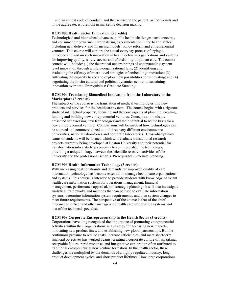and an ethical code of conduct, and that service to the patient, as individuals and in the aggregate, is foremost in marketing decision making.

# **HCM 905 Health Sector Innovation (3 credits)**

Technological and biomedical advances, public health challenges, cost concerns, and consumer empowerment are fostering experimentation in the health sector, including new delivery and financing models, policy reform and entrepreneurial ventures. This course will explore the actual everyday process of trying to introduce and sustain such innovation in health delivery organizations and systems for improving quality, safety, access and affordability of patient care. The course content will include: (1) the theoretical underpinnings of understanding system level innovation through a micro-organizational lens; (2) identifying and evaluating the efficacy of micro-level strategies of embedding innovation; (3) cultivating the capacity to see and explore new possibilities for innovating; and (4) negotiating the in-situ cultural and political dynamics central to sustaining innovation over time. Prerequisites: Graduate Standing.

# **HCM 904 Translating Biomedical Innovation from the Laboratory to the Marketplace (3 credits)**

The subject of the course is the translation of medical technologies into new products and services for the healthcare system. The course begins with a rigorous study of intellectual property, licensing and the core aspects of planning, creating, funding and building new entrepreneurial ventures. Concepts and tools are presented for assessing new technologies and their potential to be the basis for a new entrepreneurial venture. Comparisons will be made of how technologies can be sourced and commercialized out of three very different environments: universities, national laboratories and corporate laboratories. Cross-disciplinary teams of students will be formed which will evaluate translational research projects currently being developed at Boston University and their potential for transformation into a start-up company to commercialize the technology, providing a unique linkage between the scientific research activities of the university and the professional schools. Prerequisites: Graduate Standing.

#### **HCM 906 Health Information Technology (3 credits)**

With increasing cost constraints and demands for improved quality of care, information technology has become essential to manage health care organizations and systems. This course is intended to provide students with knowledge of extant health care information systems for operations management, financial management, performance appraisal, and strategic planning. It will also investigate analytical frameworks and methods that can be used to evaluate information systems, determine information system requirements, and plan system changes to meet future requirements. The perspective of the course is that of the chief information officer and other managers of health care information systems, not that of the technical specialist.

#### **HCM 908 Corporate Entrepreneurship in the Health Sector (3 credits)**

Corporations have long recognized the importance of promoting entrepreneurial activities within their organizations as a strategy for accessing new markets, innovating new product lines, and establishing new global partnerships. But the continuous pressure to reduce costs, increase efficiencies, and meet short-term financial objectives has worked against creating a corporate culture of risk taking, acceptable failure, rapid response, and imaginative exploration often attributed to traditional entrepreneurial new venture formation. In the health sector, these challenges are multiplied by the demands of a highly regulated industry, long product development cycles, and short product lifetimes. How large corporations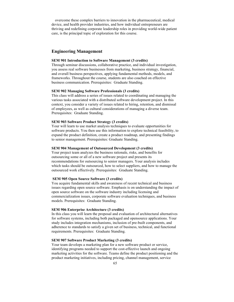overcome these complex barriers to innovation in the pharmaceutical, medical device, and health provider industries, and how individual entrepreneurs are thriving and redefining corporate leadership roles in providing world-wide patient care, is the principal topic of exploration for this course.

# **Engineering Management**

# **SEM 901 Introduction to Software Management (3 credits)**

Through seminar discussions, collaborative practice, and individual investigation, you assess real software businesses from marketing, business strategy, financial, and overall business perspectives, applying fundamental methods, models, and frameworks. Throughout the course, students are also coached on effective business communication. Prerequisites: Graduate Standing.

### **SEM 902 Managing Software Professionals (3 credits)**

This class will address a series of issues related to coordinating and managing the various tasks associated with a distributed software development project. In this context, you consider a variety of issues related to hiring, retention, and dismissal of employees, as well as cultural considerations of managing a diverse team. Prerequisites: Graduate Standing.

### **SEM 903 Software Product Strategy (3 credits)**

Your will learn to use market analysis techniques to evaluate opportunities for software products. You then use this information to explore technical feasibility, to expand the product definition, create a product roadmap, and presenting findings to senior management. Prerequisites: Graduate Standing.

#### **SEM 904 Management of Outsourced Development (3 credits)**

Your project team analyzes the business rationale, risks, and benefits for outsourcing some or all of a new software project and presents its recommendations for outsourcing to senior managers. Your analysis includes which tasks should be outsourced, how to select suppliers, and how to manage the outsourced work effectively. Prerequisites: Graduate Standing.

#### **SEM 905 Open Source Software (3 credits)**

You acquire fundamental skills and awareness of recent technical and business issues regarding open source software. Emphasis is on understanding the impact of open source software on the software industry including licensing and commercialization issues, corporate software evaluation techniques, and business models. Prerequisites: Graduate Standing.

# **SEM 906 Enterprise Architecture (3 credits)**

In this class you will learn the proposal and evaluation of architectural alternatives for software systems, including both packaged and opensource applications. Your study includes integration mechanisms, inclusion of pre-built components, and adherence to standards to satisfy a given set of business, technical, and functional requirements. Prerequisites: Graduate Standing.

### **SEM 907 Software Product Marketing (3 credits)**

Your team develops a marketing plan for a new software product or service, identifying programs needed to support the cost-effective launch and ongoing marketing activities for the software. Teams define the product positioning and the product marketing initiatives, including pricing, channel management, service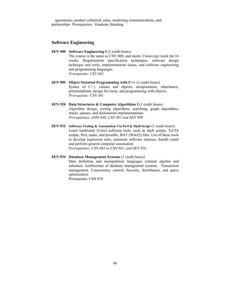agreements, product collateral, sales, marketing communications, and partnerships. Prerequisites: Graduate Standing.

# **Software Engineering**

- **SEN 900 Software Engineering I** (3 credit hours) The course is the same as CSN 800, and meets 3 hours per week for 16 weeks. Requirements specification techniques, software design technique and tools, implementation issues, and software engineering and programming languages. *Prerequisite: CSN 882*
- **SEN 909 Object Oriented Programming with C++** (3 credit hours) Syntax of C++, classes and objects, encapsulation, inheritance, polymorphism, design for reuse, and programming with objects. *Prerequisite: CSN 381*
- **SEN 920 Data Structures & Computer Algorithms I** (3 credit hours) Algorithm design, sorting algorithms, searching, graph algorithms, stacks, queues, and dictionaries implementations. *Prerequisites: AMN 840*, *CSN 882 and SEN 909*
- **SEN 932 Software Testing & Automation Via Perl & Shell Script** (3 credit hours) Learn traditional (Unix) software tools, such as shell scripts, Tcl/Tk scripts, Perl, make, and possible .BAT (Win32) files. Use of these tools to develop regression tests, automate software releases, handle email and perform general computer automation. *Prerequisites: CSN 864 or CSN 881*, *and SEN 956*

# **SEN 934 Database Management Systems** (3 credit hours) Data definition and manipulation languages (related algebra and

calculus). Architecture of database management systems. Transaction management. Concurrency control. Security, distribution, and query optimization.

Prerequisite: CSN 878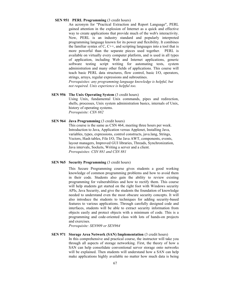### **SEN 951 PERL Programming (3 credit hours)**

An acronym for "Practical Extraction and Report Language", PERL gained attention in the explosion of Internet as a quick and effective way to create applications that provide much of the web's interactivity. Now, PERL is an industry standard and popularly interpreted programming language known for its power and flexibility. It combines the familiar syntax of  $C$ ,  $C++$ , and scripting languages into a tool that is more powerful than the separate pieces used together. PERL is available on virtually every computer platform, and is used in all types of application, including Web and Internet applications, generic software testing script writing for automating tests, system administration and many other fields of applications. This course will teach basic PERL data structures, flow control, basic I/O, operators, strings, arrays, regular expressions and subroutines. *Prerequisites: any programming language knowledge is helpful, but* 

*not required. Unix experience is helpful too.* 

# **SEN 956** The Unix Operating System (3 credit hours)

Using Unix, fundamental Unix commands, pipes and redirection, shells, processes, Unix system administration basics, internals of Unix, history of operating systems. *Prerequisite: CSN 882*

# **SEN 964 Java Programming** (3 credit hours)

This course is the same as CSN 464, meeting three hours per week. Introduction to Java, Application versus Applenet, Installing Java, variables, types, expressions, control constructs, java.lang, Strings, Vectors, Hash tables, File I/O, The Java AWT, components, events, layout managers, Improved GUI libraries, Threads, Synchronization, Java intervals, Sockets, Writing a server and a client. *Prerequisites: CSN 881 and CSN 881*

# **SEN 965 Security Programming** (3 credit hours)

This Secure Programming course gives students a good working knowledge of common programming problems and how to avoid them in their code. Students also gain the ability to review existing programming for vulnerabilities and how to rectify them. This course will help students get started on the right foot with Windows security APIs, Java Security, and give the students the foundation of knowledge needed to understand even the most obscure security concepts. It will also introduce the students to techniques for adding security-based features to various applications. Through carefully designed code and interfaces, students will be able to extract security information from objects easily and protect objects with a minimum of code. This is a programming and code-oriented class with lots of hands-on projects and exercises.

*Prerequisite: SEN909 or SEN964*

# **SEN 971 Storage Area Network (SAN) Implementation (3 credit hours)** In this comprehensive and practical course, the instructor will take you through all aspects of storage networking. First, the theory of how a SAN can help consolidate conventional server storage onto networks will be explained. Then students will understand how a SAN can help make applications highly available no matter how much data is being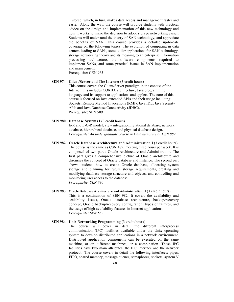stored, which, in turn, makes data access and management faster and easier. Along the way, the course will provide students with practical advice on the design and implementation of this new technology and how it works to make the decision to adopt storage networking easier. Students will understand the theory of SAN technology, and appreciate the benefits of SAN. This course provides a detailed up-to-date coverage on the following topics: The evolution of computing in data centers leading to SANs, some killer applications for SAN technology, storage networking theory and its meaning to an enterprise information processing architecture, the software components required to implement SANs, and some practical issues in SAN implementation and management. Prerequisite: CEN 963

**SEN 974 Client/Server and The Internet** (3 credit hours) This course covers the Client/Server paradigm in the context of the Internet: this includes CORBA architecture, Java programming language and its support to applications and applets. The core of this course is focused on Java extended APIs and their usage including: Sockets, Remote Method Invocations (RMI), Java IDL, Java Security APIs and Java Database Connectivity (JDBC). Prerequisite: SEN 509

# **SEN 980 Database Systems I** (3 credit hours) E-R and E-C-R model, view integration, relational database, network database, hierarchical database, and physical database design. *Prerequisite: An undergraduate course in Data Structure or CSN 882*

- **SEN 982 Oracle Database Architecture and Administration I** (3 credit hours) The course is the same as CSN 482, meeting three hours per week. It is composed of two parts: Oracle Architecture and Administration. The first part gives a comprehensive picture of Oracle architecture and discusses the concept of Oracle database and instance. The second part shows students how to create Oracle database, allocating system storage and planning for future storage requirements, creating and modifying database storage structure and objects, and controlling and monitoring user access to the database. *Prerequisite: SEN 980*
- **SEN 983 Oracle Database Architecture and Administration II** (3 credit hours) This is a continuation of SEN 982. It covers the availability and scalability issues, Oracle database architecture, backup/recovery concept, Oracle backup/recovery configuration, types of failures, and the usage of high availability features in Internet applications. *Prerequisite: SEN 582*

### **SEN 984 Unix Networking Programming** (3 credit hours)

The course will cover in detail the different interprocess communication (IPC) facilities available under the Unix operating system to develop distributed applications in a network environment. Distributed application components can be executed on the same machine, or on different machines, or a combination. These IPC facilities have two main attributes, the IPC interface and the network protocol. The course covers in detail the following interfaces: pipes, FIFO, shared memory, message queues, semaphores, sockets, system V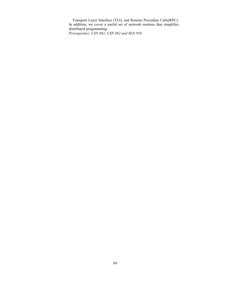Transport Layer Interface (TLI), and Remote Procedure Calls(RPC). In addition, we cover a useful set of network routines that simplifies distributed programming. *Prerequisites: CSN 881*, *CSN 882 and SEN 956*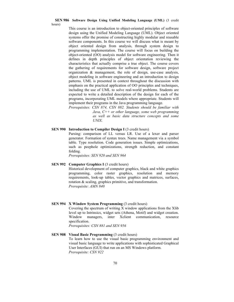#### **SEN 986 Software Design Using Unified Modeling Language (UML)** (3 credit hours)

This course is an introduction to object-oriented principles of software design using the Unified Modeling Language (UML). Object oriented systems offer the promise of constructing highly modular and reusable software components. In this course we will discuss what is meant by object oriented design from analysis, through system design to programming implementation. The course will focus on building the object-oriented (OO) analysis model for software engineering. Then it defines in depth principles of object orientation reviewing the characteristics that actually comprise a true object. The course covers the gathering of requirements for software design, software project organization & management, the role of design, use-case analysis, object modeling in software engineering and an introduction to design patterns. UML is presented in context throughout the discussion with emphasis on the practical application of OO principles and techniques, including the use of UML to solve real-world problems. Students are expected to write a detailed description of the design for each of the programs, incorporating UML models where appropriate. Students will implement their programs in the Java programming language.

*Prerequisites: CSN 874, CSN 882. Students should be familiar with Java, C++ or other language, some web programming as well as basic data structure concepts and some UNIX.*

# **SEN 990 Introduction to Compiler Design I (3 credit hours)**

Parsing: comparison of LL versus LR. Use of a lexer and parser generator. Formation of syntax trees. Name management via a symbol table. Type resolution. Code generation issues. Simple optimizations, such as peephole optimizations, strength reduction, and constant folding.

*Prerequisites: SEN 920 and SEN 964*

### **SEN 992 Computer Graphics I** (3 credit hours)

Historical development of computer graphics, black and white graphics programming, color raster graphics, resolution and memory requirements, look-up tables, vector graphics and matrices, surfaces, rotation & scaling, graphics primitive, and transformation. *Prerequisite: AMN 840*

### **SEN 994 X Window System Programming** (3 credit hours)

Covering the spectrum of writing X window applications from the Xlib level up to Intrinsics, widget sets (Athena, Motif) and widget creation. Window managers, inter Xclient communication, resource specification.

*Prerequisites: CSN 881 and SEN 956*

# **SEN 908 Visual Basic Programming** (3 credit hours) To learn how to use the visual basic programming environment and visual basic language to write applications with sophisticated Graphical User Interfaces (GUI) that run on an MS Windows platform. *Prerequisite: CSN 922*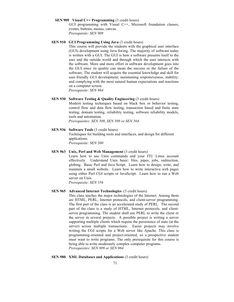### **SEN 909 Visual C++ Programming** (3 credit hours)

GUI programming with Visual C++, Microsoft foundation classes, events, buttons, menus, canvas. *Prerequisite: SEN 909*

# **SEN 910 GUI Programming Using Java** (3 credit hours)

This course will provide the students with the graphical user interface (GUI) development using Java Swing. The majority of software today is written with a GUI. The GUI is how a software presents itself to the user and the outside world and through which the user interacts with the software. More and more effort in software development goes into the GUI since its quality can mean the success or the failure of the software. The student will acquire the essential knowledge and skill for user-friendly GUI development; maintaining responsiveness, stability; and complying with the most natural human expectations and reactions on a computer screen.

*Prerequisite: SEN 964*

# **SEN 930 Software Testing & Quality Engineering (3 credit hours)**

Modern testing techniques based on black box or behavior testing, control flow and data flow testing, transaction based and finite state testing, domain testing, reliability testing, software reliability models, tools and automation.

*Prerequisites: SEN 500*, *SEN 509 or SEN 564*

# **SEN 936 Software Tools** (3 credit hours)

Techniques for building tools and interfaces, and design for different applications. *Prerequisite: SEN 500*

#### **SEN 963 Unix, Perl and Web Management** (3 credit hours)

Learn how to use Unix commands and your ITU Linux account effectively. Understand Unix basic: files, pipes, jobs, redirection, globing. Basic Perl and Java Script. Learn how to design, write, and maintain a small website. Learn how to write interactive web pages using either Perl CGI scripts or JavaScript. Learn how to run a Web server on Unix.

*Prerequisite: SEN 556*

### **SEN 965 Advanced Internet Technologies** (3 credit hours)

This class teaches the major technologies of the Internet. Among them are HTML, PERL, Internet protocols, and client-server programming. The first part of the class is an accelerated study of PERL. The second part of the class is a study of HTML, Internet protocols, and clientserver programming. The student shall use PERL to write the client or the server in several projects. A possible project is writing a server supporting multiple clients which require the persistence of state (at the server) across multiple transactions. Easier projects may involve writing the CGI scripts for a Web server like Apache. This class is programming-oriented and project-oriented, so a prospective student must want to write programs. The only prerequisite for this course is being able to write moderately complex computer programs. *Prerequisites: SEN 909 or SEN 964*

### **SEN 980 XML Databases and Applications (3 credit hours)**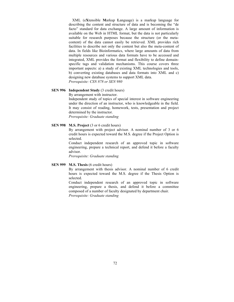XML (e**X**tensible **M**arkup **L**anguage) is a markup language for describing the content and structure of data and is becoming the "de facto" standard for data exchange. A large amount of information is available on the Web in HTML format, but the data is not particularly suitable for research purposes because the structure (or the metacontent) of the data cannot easily be retrieved. XML provides rich facilities to describe not only the content but also the meta-content of data. In fields like Bioinformatics, where large amounts of data from multiple resources and various data formats have to be accessed and integrated, XML provides the format and flexibility to define domainspecific tags and validation mechanisms. This course covers three important aspects: a) a study of existing XML technologies and tools, b) converting existing databases and data formats into XML and c) designing new database systems to support XML data. *Prerequisite: CSN 878 or SEN 980*

# **SEN 996 Independent Study** (3 credit hours)

By arrangement with instructor.

Independent study of topics of special interest in software engineering under the direction of an instructor, who is knowledgeable in the field. It may consist of reading, homework, tests, presentation and project determined by the instructor. *Prerequisite: Graduate standing*

# **SEN 998 M.S. Project** (3 or 6 credit hours)

By arrangement with project advisor. A nominal number of 3 or 6 credit hours is expected toward the M.S. degree if the Project Option is selected.

Conduct independent research of an approved topic in software engineering, prepare a technical report, and defend it before a faculty advisor.

*Prerequisite: Graduate standing*

### **SEN 999 M.S. Thesis** (6 credit hours)

By arrangement with thesis advisor. A nominal number of 6 credit hours is expected toward the M.S. degree if the Thesis Option is selected.

Conduct independent research of an approved topic in software engineering, prepare a thesis, and defend it before a committee composed of a number of faculty designated by department chair. *Prerequisite: Graduate standing*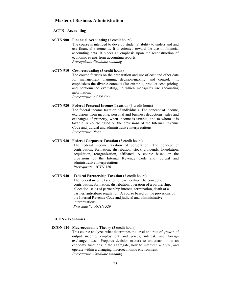# **Master of Business Administration**

#### **ACTN - Accounting**

**ACTN 900 Financial Accounting** (3 credit hours) The course is intended to develop students' ability to understand and use financial statements. It is oriented toward the use of financial accounting data. It places an emphasis upon the reconstruction of economic events from accounting reports. *Prerequisite: Graduate standing*

#### **ACTN 910 Cost Accounting** (3 credit hours)

The course focuses on the preparation and use of cost and other data for management planning, decision-making, and control. It emphasizes the diverse contexts (for example, product cost, pricing, and performance evaluating) in which manager's use accounting information.

*Prerequisite: ACTN 500*

#### **ACTN 920 Federal Personal Income Taxation** (3 credit hours)

The federal income taxation of individuals. The concept of income, exclusions from income, personal and business deductions, sales and exchanges of property, when income is taxable, and to whom it is taxable. A course based on the provisions of the Internal Revenue Code and judicial and administrative interpretations. *Prerequisite: None*

# **ACTN 930 Federal Corporate Taxation** (3 credit hours)

The federal income taxation of corporation. The concept of contribution, formation, distribution, stock dividends, liquidation, acquisition, reorganization, affiliated. A course based on the provisions of the Internal Revenue Code and judicial and administrative interpretations. *Prerequisite: ACTN 520*

**ACTN 940 Federal Partnership Taxation** (3 credit hours) The federal income taxation of partnership. The concept of contribution, formation, distribution, operation of a partnership, allocation, sales of partnership interest, termination, death of a partner, anti-abuse regulation. A course based on the previsions of the Internal Revenue Code and judicial and administrative interpretations. *Prerequisite: ACTN 520*

#### **ECON - Economics**

# **ECON 920 Macroeconomic Theory** (3 credit hours) This course analyzes what determines the level and rate of growth of output income, employment and prices, interest, and foreign exchange rates. Prepares decision-makers to understand how an economy functions in the aggregate, how to interpret, analyze, and operate within a changing macroeconomic environment.

*Prerequisite: Graduate standing*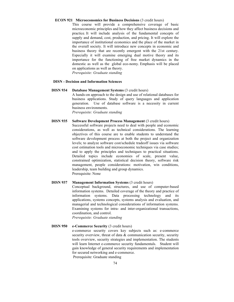#### **ECON 921 Microeconomics for Business Decisions** (3 credit hours)

This course will provide a comprehensive coverage of basic microeconomic principles and how they affect business decisions and practice. It will include analysis of the fundamental concepts of supply and demand, cost, production, and pricing. It will explore the importance of institutional economics and the place of the market in the overall society. It will introduce new concepts in economic and business theory that are recently emergent with the 21st century. Especially it will examine emerging dual motive theory and its importance for the functioning of free market dynamics in the domestic as well as the global eco-nomy. Emphasis will be placed on applications as well as theory. *Prerequisite: Graduate standing*

# **DISN - Decision and Information Sciences**

- **DISN 934 Database Management Systems** (3 credit hours) A hands-on approach to the design and use of relational databases for business applications. Study of query languages and application generation. Use of database software is a necessity in current business environments. *Prerequisite: Graduate standing*
- **DISN 935 Software Development Process Management** (3 credit hours)

Successful software projects need to deal with people and economic considerations, as well as technical considerations. The learning objectives of this course are to enable students to understand the software development process at both the project and organization levels; to analyze software cost/schedule tradeoff issues via software cost estimation tools and microeconomic techniques via case studies; and to apply the principles and techniques to practical situations. Detailed topics include economies of scale, present value, constrained optimization, statistical decision theory, software risk management, people considerations: motivation, win conditions, leadership, team building and group dynamics. Prerequisite: None

**DISN 937 Management Information Systems** (3 credit hours) Conceptual background, structures, and use of computer-based information systems. Detailed coverage of the theory and practice of information systems. Data processing technology and its applications, systems concepts, systems analysis and evaluation, and managerial and technological considerations of information systems. Examining systems for intra- and inter-organizational transactions, coordination, and control. *Prerequisite: Graduate standing*

**DISN 950 e-Commerce Security** (3 credit hours) e-commerce security covers key subjects such as: e-commerce security overview, threat of data & communication security, security tools overview, security strategies and implementation. The students will learn Internet e-commerce security fundamentals. Student will gain knowledge of general security requirements and implementation for secured networking and e-commerce. Prerequisite: Graduate standing

74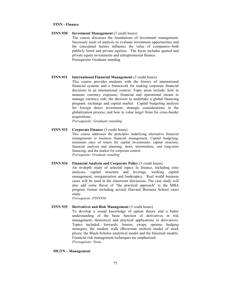#### **FINN - Finance**

### **FINN 930 Investment Management** (3 credit hours)

The course discusses the foundations of investment management. Necessary tools of analysis to evaluate investment opportunities and the conceptual factors influence the value of companies--both publicly listed and private equities. The focus includes quoted and private equity investments and entrepreneurial finance. Prerequisite: Graduate standing

#### **FINN 931 International Financial Management** (3 credit hours)

This course provides students with the history of international financial systems and a framework for making corporate financial decisions in an international context. Topic areas include: how to measure currency exposure; financial and operational means to manage currency risk; the decision to undertake a global financing program; exchange and capital market. Capital budgeting analysis for foreign direct investment; strategic considerations in the globalization process; and how to value target firms for cross-border acquisitions.

*Prerequisite: Graduate standing*

# **FINN 932 Corporate Finance** (3 credit hours)

This course addresses the principles underlying alternative financial arrangements to business financial management. Capital budgeting; minimum rates of return for capital investments; capital structure; financial analysis and planning; short, intermediate, and long-term financing; and the market for corporate control. *Prerequisite: Graduate standing*

#### **FINN 934 Financial Analysis and Corporate Policy (3 credit hours)**

An in-depth study of selected topics in finance, including ratio analyses, capital structure and leverage, working capital management, reorganization and bankruptcy. Real world business cases will be used in the classroom discussion, The case study will also add some flavor of "the practical approach" to the MBA program format including several Harvard Business School cases study.

*Prerequisite: FINN930*

#### **FINN 935 Derivatives and Risk Management** (3 credit hours)

To develop a sound knowledge of option theory and a better understanding of the basic function of derivatives in risk management, theoretical and practical applications in derivatives. Topics included: forwards; futures; swaps; options; hedging strategies; the random walk (Brownian motion) model of stock prices; the Black-Scholes analytical model and the binomial models. Financial risk management techniques are emphasized. *Prerequisite: None*

#### **MGTN – Management**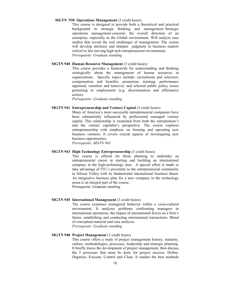#### **MGTN 930 Operations Management** (3 credit hours)

This course is designed to provide both a theoretical and practical background in strategic thinking and management. Strategic operations management concerns the overall direction of an enterprise, especially in the Global environment. Will analyze case studies that reveal the real challenges of management. The course will develop alertness and sharpen judgment in business matters critical to fast moving high tech entrepreneurial environment. *Prerequisite: Graduate standing*

#### **MGTN 940 Human Resource Management** (3 credit hours)

This course provides a framework for understanding and thinking strategically about the management of human resources in organizations. Specific topics include: recruitment and selection; compensation and benefits; promotion; training; performance appraisal; retention and turnover; and selected public policy issues pertaining to employment (e.g. discrimination and affirmative action).

*Prerequisite: Graduate standing*

#### **MGTN 941 Entrepreneurship and Venture Capital** (3 credit hours)

Many of America's most successful entrepreneurial companies have been substantially influenced by professional managed venture capital. This relationship is examined from both the entrepreneur's and the venture capitalist's perspective. The course explores entrepreneurship with emphasis on forming and operating new business ventures. It covers crucial aspects of investigating new business opportunities.

*Prerequisite: MGTN 943*

# **MGTN 943 High-Technology Entrepreneurship** (3 credit hours)

This course is offered for those planning to undertake an entrepreneurial career in starting and building an international company in the high-technology area. A special effort is made to take advantage of ITU's proximity to the entrepreneurial community in Silicon Valley with its fundamental international business thrust. An integrative business plan for a new company in the technology arena is an integral part of the course. Prerequisite: Graduate standing

### **MGTN 945 International Management** (3 credit hours)

The course examines managerial behavior within a cross-cultural environment. It analyzes problems confronting managers in international operations, the impact of international forces on a firm's future, establishing and conducting international transactions. Blend of conceptual material and case analyses. *Prerequisite: Graduate standing*

# **MGTN 948 Project Management** (3 credit hours)

This course offers a study of project management history, maturity, culture, methodologies, processes, leadership and strategic planning. It briefly traces the development of project management, then discuss the 5 processes that must be done for project success: Define, Organize, Execute, Control and Close. It studies the best methods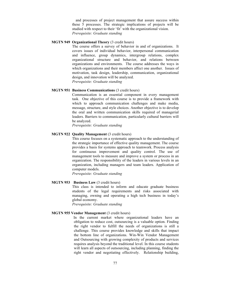and processes of project management that assure success within these 5 processes. The strategic implications of projects will be studied with respect to their 'fit' with the organizational vision. *Prerequisite: Graduate standing*

# **MGTN 949 Organizational Theory** (3 credit hours)

The course offers a survey of behavior in and of organizations. It covers issues of individual behavior, interpersonal communication and influence, group dynamics, intergroup relations, complex organizational structure and behavior, and relations between organizations and environments. The course addresses the ways in which organizations and their members affect one another. Issues of motivation, task design, leadership, communication, organizational design, and innovation will be analyzed. *Prerequisite: Graduate standing*

# **MGTN 951 Business Communications** (3 credit hours)

Communication is an essential component in every management task. One objective of this course is to provide a framework with which to approach communication challenges and make media, message, structure, and style choices. Another objective is to develop the oral and written communication skills required of managerial leaders. Barriers to communication, particularly cultural barriers will be analyzed.

*Prerequisite: Graduate standing*

# **MGTN 922 Quality Management** (3 credit hours)

This course focuses on a systematic approach to the understanding of the strategic importance of effective quality management. The course provides a basis for systems approach to teamwork. Process analysis for continuous improvement and quality control. The use of management tools to measure and improve a system or process in an organization. The responsibility of the leaders in various levels in an organization, including managers and team leaders. Application of computer models.

*Prerequisite: Graduate standing*

# **MGTN 953 Business Law** (3 credit hours)

This class is intended to inform and educate graduate business students of the legal requirements and risks associated with managing, owning and operating a high tech business in today's global economy.

*Prerequisite: Graduate standing*

#### **MGTN 955 Vendor Management** (3 credit hours)

In the current market where organizational leaders have an obligation to reduce cost, outsourcing is a valuable option. Finding the right vendor to fulfill the needs of organizations is still a challenge. This course provides knowledge and skills that impact the bottom line of organizations. Win-Win Vendor Management and Outsourcing with growing complexity of products and services requires analysis beyond the traditional level. In this course students will learn all aspects of outsourcing, including planning, finding the right vendor and negotiating effectively. Relationship building,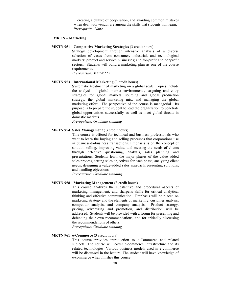creating a culture of cooperation, and avoiding common mistakes when deal with vendor are among the skills that students will learn. *Prerequisite: None*

#### **MKTN – Marketing**

#### **MKTN 951 Competitive Marketing Strategies** (3 credit hours)

Strategy development through intensive analysis of a diverse selection of cases from consumer, industrial, and technological markets; product and service businesses; and for-profit and nonprofit sectors. Students will build a marketing plan as one of the course requirements.

*Prerequisite: MKTN 553*

# **MKTN 953 International Marketing** (3 credit hours)

Systematic treatment of marketing on a global scale. Topics include the analysis of global market environments, targeting and entry strategies for global markets, sourcing and global production strategy, the global marketing mix, and managing the global marketing effort. The perspective of the course is managerial. Its purpose is to prepare the student to lead the organization to penetrate global opportunities successfully as well as meet global threats in domestic markets.

*Prerequisite: Graduate standing*

# **MKTN 954 Sales Management** ( 3 credit hours)

This course is offered for technical and business professionals who want to learn the buying and selling processes that corporations use in business-to-business transactions. Emphasis is on the concept of solution selling, improving value, and meeting the needs of clients through effective questioning, analysis, sales planning and presentations. Students learn the major phases of the value added sales process, setting sales objectives for each phase, analyzing client needs, designing a value-added sales approach, presenting solutions, and handling objections.

*Prerequisite: Graduate standing*

# **MKTN 958 Marketing Management** (3 credit hours)

This course analyzes the substantive and procedural aspects of marketing management, and sharpens skills for critical analytical thinking and effective communication. Emphasis will be placed on marketing strategy and the elements of marketing: customer analysis, competitor analysis, and company analysis. Product strategy, pricing, advertising and promotion, and distribution will be addressed. Students will be provided with a forum for presenting and defending their own recommendations, and for critically discussing the recommendations of others.

*Prerequisite: Graduate standing*

# **MKTN 961 e-Commerce** (3 credit hours)

This course provides introduction to e-Commerce and related subjects. The course will cover e-commerce infrastructure and its related technologies. Various business models used in e-commerce will be discussed in the lecture. The student will have knowledge of e-commerce when finishes this course.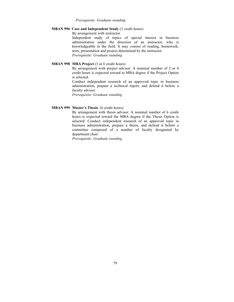#### *Prerequisite: Graduate standing*

#### **MBAN 996 Case and Independent Study** (3 credit hours)

By arrangement with instructor.

Independent study of topics of special interest in business administration under the direction of an instructor, who is knowledgeable in the field. It may consist of reading, homework, tests, presentation and project determined by the instructor. *Prerequisite: Graduate standing*

# **MBAN 998 MBA Project** (3 or 6 credit hours)

By arrangement with project advisor. A nominal number of 2 or 4 credit hours is expected toward to MBA degree if the Project Option is selected.

Conduct independent research of an approved topic in business administration, prepare a technical report, and defend it before a faculty advisor.

*Prerequisite: Graduate standing*

#### **MBAN 999 Master's Thesis** (6 credit hours)

By arrangement with thesis advisor. A nominal number of 6 credit hours is expected toward the MBA degree if the Thesis Option is selected. Conduct independent research of an approved topic in business administration, prepare a thesis, and defend it before a committee composed of a number of faculty designated by department chair.

*Prerequisite: Graduate standing*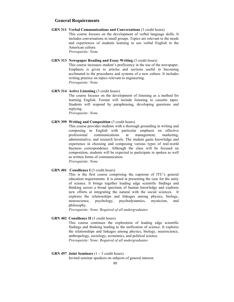# **General Requirements**

# **GRN 311 Verbal Communications and Conversations** (3 credit hours)

This course focuses on the development of verbal language skills. It includes conversations in small groups. Topics are relevant to the needs and experiences of students learning to use verbal English in the American culture.

*Prerequisite: None*

# **GRN 313 Newspaper Reading and Essay Writing** (3 credit hours)

This course increases student's proficiency in the use of the newspaper. Emphasis is given to articles and sections useful in becoming acclimated to the procedures and systems of a new culture. It includes writing practice on topics relevant to engineering. *Prerequisite: None*

# **GRN 314 Active Listening** (3 credit hours)

The course focuses on the development of listening as a method for learning English. Format will include listening to cassette tapes. Students will respond by paraphrasing, developing questions and replying.

*Prerequisite: None*

# **GRN 399 Writing and Composition** (3 credit hours)

This course provides students with a thorough grounding in writing and composing in English with particular emphasis on effective professional communications at management, marketing, administrative, and research levels. The student gains knowledge and experience in choosing and composing various types of real-world business correspondence. Although the class will be focused on composition, students will be expected to participate in spoken as well as written forms of communication. *Prerequisite: None*

#### **GRN 401 Consilience I** (3 credit hours)

This is the first course comprising the capstone of ITU's general education requirements. It is aimed at presenting the case for the unity of science. It brings together leading edge scientific findings and thinking across a broad spectrum of human knowledge and explores new efforts at integrating the natural with the social sciences. It explores the relationships and linkages among physics, biology, neuroscience, psychology, psychodynamics, mysticism, and philosophy.

*Prerequisite: None. Required of all undergraduates* 

#### **GRN 402 Consilience II** (3 credit hours)

This course continues the exploration of leading edge scientific findings and thinking leading to the unification of science. It explores the relationships and linkages among physics, biology, neuroscience, anthropology, sociology, economics, and political science. *Prerequisite: None. Required of all undergraduates*

# **GRN 497 Joint Seminars** (1 − 3 credit hours)

Invited seminar speakers on subjects of general interest.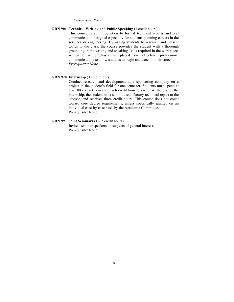#### *Prerequisite: None*

# **GRN 901 Technical Writing and Public Speaking** (3 credit hours)

This course is an introduction to formal technical reports and oral communication designed especially for students planning careers in the sciences or engineering. By asking students to research and present topics to the class, the course provides the student with a thorough grounding in the writing and speaking skills required in the workplace. A particular emphasis is placed on effective professional communications to allow students to begin and excel in their careers. *Prerequisite: None*

# **GRN 920 Internship** (3 credit hours)

Conduct research and development at a sponsoring company on a project in the student's field for one semester. Students must spend at least 80 contact hours for each credit hour received. At the end of the internship, the student must submit a satisfactory technical report to the advisor, and receives three credit hours. This course does not count toward core degree requirements, unless specifically granted on an individual case-by-case basis by the Academic Committee. Prerequisite: None

# **GRN 997 Joint Seminars** (1 − 3 credit hours)

Invited seminar speakers on subjects of general interest. Prerequisite: None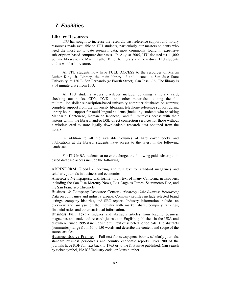# *7. Facilities*

# **Library Resources**

ITU has sought to increase the research, vast reference support and library resources made available to ITU students, particularly our masters students who need the most up to date research data, most commonly found in expensive subscription-based computer databases. In August 2005, ITU donated its 11,000 volume library to the Martin Luther King, Jr. Library and now direct ITU students to this wonderful resource.

All ITU students now have FULL ACCESS to the resources of Martin Luther King, Jr. Library, the main library of and located at San Jose State University, at 150 E. San Fernando (at Fourth Street), San Jose, CA. The library is a 14 minute drive from ITU.

All ITU students access privileges include: obtaining a library card; checking out books, CD's, DVD's and other materials; utilizing the full multimillion dollar subscription-based university computer databases on campus; complete support from the university librarian; telephone reference support during library hours; support for multi-lingual students (including students who speaking Mandarin, Cantonese, Korean or Japanese); and full wireless access with their laptops within the library, and/or DSL direct connection services for those without a wireless card to store legally downloadable research data obtained from the library.

In addition to all the available volumes of hard cover books and publications at the library, students have access to the latest in the following databases.

For ITU MBA students, at no extra charge, the following paid subscriptionbased database access include the following:

ABI/INFORM Global - Indexing and full text for standard magazines and scholarly journals in business and economics.

America's Newspapers: California - Full text of many California newspapers, including the San Jose Mercury News, Los Angeles Times, Sacramento Bee, and the San Francisco Chronicle.

Business & Company Resource Center - *(formerly Gale Business Resources)* Data on companies and industry groups. Company profiles include selected brand listings, company histories, and SEC reports. Industry information includes an overview and analysis of the industry with market share, company rankings, financial ratios and other statistical information.

Business Full Text - Indexes and abstracts articles from leading business magazines and trade and research journals in English, published in the USA and elsewhere. Since 1995 it includes the full text of selected periodicals. The abstracts (summaries) range from 50 to 150 words and describe the content and scope of the source articles.

Business Source Premier - Full text for newspapers, books, scholarly journals, standard business periodicals and country economic reports. Over 200 of the journals have PDF full text back to 1965 or to the first issue published. Can search by ticker symbol, NAICS/Industry code, or Duns number.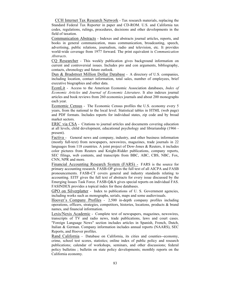CCH Internet Tax Research Network - Tax research materials, replacing the Standard Federal Tax Reporter in paper and CD-ROM. U.S. and California tax codes, regulations, rulings, procedures, decisions and other developments in the field of taxation.

Communication Abstracts - Indexes and abstracts journal articles, reports, and books in general communication, mass communication, broadcasting, speech, advertising, public relations, journalism, radio and television, etc. It provides world-wide coverage from 1977 forward. The print equivalent is *Communication Abstracts*.

CQ Researcher - This weekly publication gives background information on current and controversial issues. Includes pro and con arguments, bibliography, contacts, chronology and future outlook.

Dun & Bradstreet Million Dollar Database - A directory of U.S. companies, including location, contact information, total sales, number of employees, brief executive biographies and other data.

EconLit - Access to the American Economic Association databases, *Index of Economic Articles* and *Journal of Economic Literature*. It also indexes journal articles and book reviews from 260 economics journals and about 200 monographs each year.

Economic Census - The Economic Census profiles the U.S. economy every 5 years, from the national to the local level. Statistical tables in HTML (web page) and PDF formats. Includes reports for individual states, zip code and by broad market sectors.

ERIC via CSA - Citations to journal articles and documents covering education at all levels, child development, educational psychology and librarianship (1966 present).

Factiva - General news and company, industry, and other business information (mostly full-text) from newspapers, newswires, magazines, trade journals in 22 languages from 118 countries. A joint project of Dow-Jones & Reuters, it includes color pictures from Reuters and Knight-Ridder publications, company reports, SEC filings, web contents, and transcripts from BBC, ABC, CBS, NBC, Fox, CNN, NPR and more.

Financial Accounting Research System (FARS) - FARS is the source for primary accounting research. FASB-OP gives the full text of all AICPA and FASB pronouncements. FASB-CT covers general and industry standards relating to accounting. EITF gives the full text of abstracts for every issue discussed by the Emerging Issues Task Force. FASB-Q&A gives special reports on individual FAS. FASINDEX provides a topical index for these databases.

GPO on Silverplatter - Index to publications of U. S. Government agencies, including works such as monographs, serials, maps and some audiovisuals.

Hoover's Company Profiles - 2,500 in-depth company profiles including operations, officers, strategies, competitors, histories, locations, products & brand names, and financial information.

Lexis/Nexis Academic - Complete text of newspapers, magazines, newswires, transcripts of TV and radio news, trade publications, laws and court cases. "Foreign Language News" section includes articles in Spanish, French, Dutch, Italian & German. Company information includes annual reports (NAARS), SEC Reports, and Hoover profiles.

Rand California - Database on California, its cities and counties--economy, crime, school test scores, statistics; online index of public policy and research publications; calendar of workshops, seminars, and other discussions; federal policy bulletins ; bulletin on state policy developments; monthly reports on the California economy.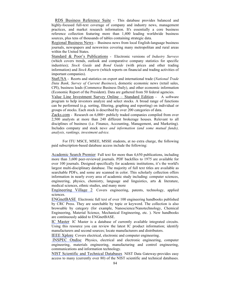RDS Business Reference Suite - This database provides balanced and highly-focused full-text coverage of company and industry news, management practices, and market research information. It's essentially a core business reference collection featuring more than 1,400 leading worldwide business sources, plus tens of thousands of tables containing strategic data.

Regional Business News - Business news from local English-language business journals, newspapers and newswires covering many metropolitan and rural areas within the United States.

Standard & Poor's Publications - Electronic versions of *Industry Surveys* (which covers trends, outlook and comparative company statistics for specific industries); *Stock Guide* and *Bond Guide* (with prices and other trading information) and *Stock Reports* (which reports on financial and trading activities of important companies).

StatUSA - Reorts and statistics on export and international trade (*National Trade Data Bank, Survey of Current Business*), domestic economic news (retail sales, CPI), business leads (Commerce Business Daily), and other economic information (Economic Report of the President). Data are gathered from 50 federal agencies.

Value Line Investment Survey Online – Standard Edition - A software program to help investors analyze and select stocks. A broad range of functions can be performed (e.g. sorting, filtering, graphing and reporting) on individual or groups of stocks. Each stock is described by over 200 categories of data.

Zacks.com - Research on 6,000+ publicly traded companies compiled from over 2,500 analysts at more than 240 different brokerage houses. Relevant to all disciplines of business (i.e. Finance, Accounting, Management, and Marketing). Includes company and stock ne*ws and information (and some mutual funds), analysis, rankings, investment advice.*

For ITU MSCE, MSEE, MSSE students, at no extra charge, the following paid subscription-based database access include the following:

Academic Search Premier Full text for more than 4,650 publications, including more than 3,600 peer-reviewed journals. PDF backfiles to 1975 are available for over 100 journals. Designed specifically for academic institutions, it's the world's largest multi-disciplinary database. The majority of full text titles are available as searchable PDFs, and some are scanned in color. This scholarly collection offers information in nearly every area of academic study including: computer sciences, engineering, physics, chemistry, language and linguistics, arts & literature, medical sciences, ethnic studies, and many more

Engineering Village 2 Covers engineering, patents, technology, applied sciences.

ENGnetBASE Electronic full text of over 100 engineering handbooks published by CRC Press. They are searchable by topic or keyword. The collection is also browsable by category (for example, Nanoscience/Nanotechnology, Chemical Engineering, Material Science, Mechanical Engineering, etc. ). New handbooks are continuously added to ENGnetBASE.

IC Master IC Master is a database of currently available integrated circuits. Using this resource you can review the latest IC product information; identify manufacturers and second sources; locate manufacturers and distributors.

IEEE Xplore Covers electrical, electronic and computer engineering.

 INSPEC Ondisc Physics, electrical and electronic engineering, computer engineering, materials engineering, manufacturing and control engineering, communications and information technology.

NIST Scientific and Technical Databases NIST Data Gateway-provides easy access to many (currently over 80) of the NIST scientific and technical databases.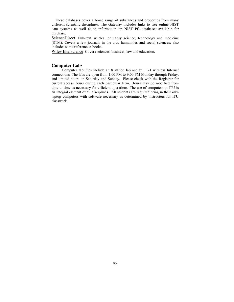These databases cover a broad range of substances and properties from many different scientific disciplines. The Gateway includes links to free online NIST data systems as well as to information on NIST PC databases available for purchase.

ScienceDirect Full-text articles, primarily science, technology and medicine (STM). Covers a few journals in the arts, humanities and social sciences; also includes some reference e-books.

Wiley Interscience Covers sciences, business, law and education.

#### **Computer Labs**

Computer facilities include an 8 station lab and full T-1 wireless Internet connections. The labs are open from 1:00 PM to 9:00 PM Monday through Friday, and limited hours on Saturday and Sunday. Please check with the Registrar for current access hours during each particular term. Hours may be modified from time to time as necessary for efficient operations. The use of computers at ITU is an integral element of all disciplines. All students are required bring in their own laptop computers with software necessary as determined by instructors for ITU classwork.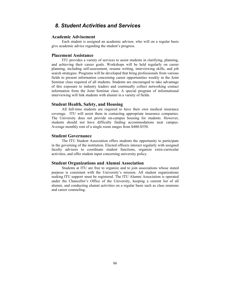# *8. Student Activities and Services*

# **Academic Advisement**

Each student is assigned an academic advisor, who will on a regular basis give academic advice regarding the student's progress.

# **Placement Assistance**

ITU provides a variety of services to assist students in clarifying, planning, and achieving their career goals. Workshops will be held regularly on career planning, including self-assessment, resume writing, interviewing skills, and job search strategies. Programs will be developed that bring professionals from various fields to present information concerning career opportunities weekly in the Joint Seminar class required of all students. Students are encouraged to take advantage of this exposure to industry leaders and continually collect networking contact information from the Joint Seminar class. A special program of informational interviewing will link students with alumni in a variety of fields.

#### **Student Health, Safety, and Housing**

All full-time students are required to have their own medical insurance coverage. ITU will assist them in contacting appropriate insurance companies. The University does not provide on-campus housing for students. However, students should not have difficulty finding accommodations near campus. Average monthly rent of a single room ranges from \$400-\$550.

### **Student Governance**

The ITU Student Association offers students the opportunity to participate in the governing of the institution. Elected officers interact regularly with assigned faculty advisors to coordinate student functions, organize extra-curricular activities, and offer student input concerning university policy.

# **Student Organizations and Alumni Association**

Students at ITU are free to organize and to join associations whose stated purpose is consistent with the University's mission. All student organizations seeking ITU support must be registered. The ITU Alumni Association is operated under the Chancellor's Office of the University, keeping a current list of all alumni, and conducting alumni activities on a regular basis such as class reunions and career counseling.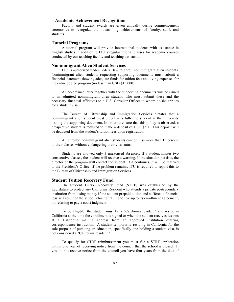# **Academic Achievement Recognition**

Faculty and student awards are given annually during commencement ceremonies to recognize the outstanding achievements of faculty, staff, and students.

# **Tutorial Programs**

A tutorial program will provide international students with assistance in English studies in addition to ITU's regular tutorial classes for academic courses conducted by our teaching faculty and teaching assistants.

#### **Nonimmigrant Alien Student Services**

ITU is authorized under Federal law to enroll nonimmigrant alien students. Nonimmigrant alien students requesting supporting documents must submit a financial statement showing adequate funds for tuition fees and living expenses for the entire degree program (no less than USD \$15,000).

An acceptance letter together with the supporting documents will be issued to an admitted nonimmigrant alien student, who must submit these and the necessary financial affidavits to a U.S. Consular Officer to whom he/she applies for a student visa.

The Bureau of Citizenship and Immigration Services dictates that a nonimmigrant alien student must enroll as a full-time student at the university issuing the supporting document. In order to ensure that this policy is observed, a prospective student is required to make a deposit of USD \$500. This deposit will be deducted from the student's tuition fees upon registration.

All enrolled nonimmigrant alien students cannot miss more than 15 percent of their classes without endangering their visa status.

Students are allowed only 3 unexcused absences. If a student misses two consecutive classes, the student will receive a warning. If the situation persists, the director of the program will contact the student. If it continues, it will be referred to the President's Office. If the problem remains, ITU is required to report this to the Bureau of Citizenship and Immigration Services.

# **Student Tuition Recovery Fund**

The Student Tuition Recovery Fund (STRF) was established by the Legislature to protect any California Resident who attends a private postsecondary institution from losing money if the student prepaid tuition and suffered a financial loss as a result of the school: closing; failing to live up to its enrollment agreement; or, refusing to pay a court judgment.

To be eligible, the student must be a "California resident" and reside in California at the time the enrollment is signed or when the student receives lessons at a California mailing address from an approved institution offering correspondence instruction. A student temporarily residing in California for the sole purpose of pursuing an education, specifically one holding a student visa, is not considered a "California resident."

To qualify for STRF reimbursement you must file a STRF application within one year of receiving notice from the council that the school is closed. If you do not receive notice from the council you have four years from the date of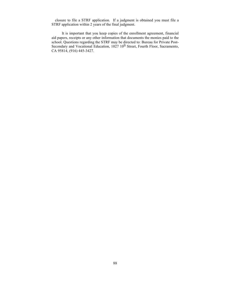closure to file a STRF application. If a judgment is obtained you must file a STRF application within 2 years of the final judgment.

It is important that you keep copies of the enrollment agreement, financial aid papers, receipts or any other information that documents the monies paid to the school. Questions regarding the STRF may be directed to: Bureau for Private Post-Secondary and Vocational Education,  $1027 \ 10^{th}$  Street, Fourth Floor, Sacramento, CA 95814, (916) 445-3427.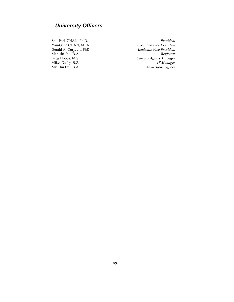# *University Officers*

Yau-Gene CHAN, MFA, Manisha Pai, B.A. *Registrar*

Shu-Park CHAN, Ph.D. *President* Gerald A. Cory, Jr., PhD, *Academic Vice President*  $Campus$  Affairs Manager Mikel Duffy, B.S. *IT Manager*<br>My Thu Bui, B.A. *IT Manager*<br>*Admissions Officer* Admissions Officer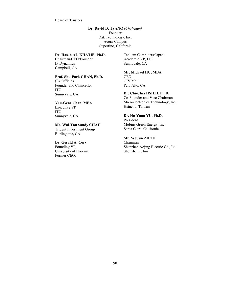#### Board of Trustees

# **Dr. David D. TSANG** *(Chairman)* Founder Oak Technology, Inc. Acorn Campus Cupertino, California

# **Dr. Hasan AL-KHATIB, Ph.D.**

Chairman/CEO/Founder IP Dynamics Campbell, CA

# **Prof. Shu-Park CHAN, Ph.D.**

(Ex Officio) Founder and Chancellor ITU Sunnyvale, CA

### **Yau-Gene Chan, MFA** Executive VP ITU

Sunnyvale, CA

# **Mr. Wai-Yan Sandy CHAU**

Trident Investment Group Burlingame, CA

# **Dr. Gerald A. Cory**

Founding VP, University of Phoenix Former CEO,

Tandem Computers/Japan Academic VP, ITU Sunnyvale, CA

# **Mr. Michael HU, MBA**

CEO OIV Mail Palo Alto, CA

# **Dr. Chi-Chia HSIEH, Ph.D.**

Co-Founder and Vice Chairman Microelectronics Technology, Inc. Hsinchu, Taiwan

# **Dr. Ho-Yuan YU, Ph.D.**

President Mobius Green Energy, Inc. Santa Clara, California

# **Mr. Weijun ZHOU**

Chairman Shenzhen Aojing Electric Co., Ltd. Shenzhen, Chin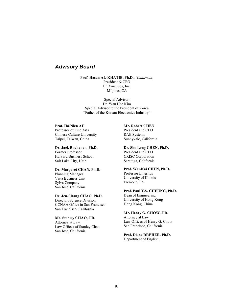# *Advisory Board*

**Prof. Hasan AL-KHATIB, Ph.D.,** *(Chairman)*

President & CEO IP Dynamics, Inc. Milpitas, CA

Special Advisor: Dr. Wan Hee Kim Special Advisor to the President of Korea "Father of the Korean Electronics Industry"

# **Prof. Ho-Nien AU**

Professor of Fine Arts Chinese Culture University Taipei, Taiwan, China

**Dr. Jack Buchanan, Ph.D.** Former Professor Harvard Business School

Salt Lake City, Utah

# **Dr. Margaret CHAN, Ph.D.**

Planning Manager Vista Business Unit Sylva Company San Jose, California

# **Dr. Jen-Chang CHAO, Ph.D.**

Director, Science Division CCNAA Office in San Francisco San Francisco, California

#### **Mr. Stanley CHAO, J.D.**

Attorney at Law Law Offices of Stanley Chao San Jose, California

#### **Mr. Robert CHEN**

President and CEO RAE Systems Sunnyvale, California

#### **Dr. Sho Long CHEN, Ph.D.**

President and CEO CRISC Corporation Saratoga, California

# **Prof. Wai-Kai CHEN, Ph.D.**

Professor Emeritus University of Illinois Fremont, CA

# **Prof. Paul Y.S. CHEUNG, Ph.D.**

Dean of Engineering University of Hong Kong Hong Kong, China

#### **Mr. Henry G. CHOW, J.D.**

Attorney at Law Law Offices of Henry G. Chow San Francisco, California

# **Prof. Diane DREHER, Ph.D.** Department of English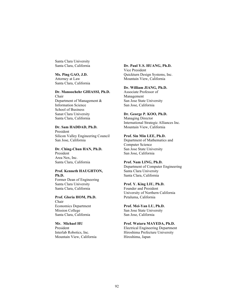Santa Clara University Santa Clara, California

#### **Ms. Ping GAO, J.D.**

Attorney at Law Santa Clara, California

#### **Dr. Manoochehr GHIASSI, Ph.D.** Chair

Department of Management & Information Science School of Business Sanat Clara University Santa Clara, California

#### **Dr. Sam HADDAD, Ph.D.** President

Silicon Valley Engineering Council San Jose, California

**Dr. Ching-Chun HAN, Ph.D.** President Area Nex, Inc. Santa Clara, California

#### **Prof. Kenneth HAUGHTON, Ph.D.**

Former Dean of Engineering Santa Clara University Santa Clara, California

**Prof. Gloria HOM, Ph.D.** Chair Economics Department Mission College Santa Clara, California

# **Mr. Michael HU** President Interlab Robotics, Inc. Mountain View, California

# **Dr. Paul Y.S. HUANG, Ph.D.**

Vice President Quickturn Design Systems, Inc. Mountain View, California

# **Dr. William JIANG, Ph.D.**

Associate Professor of Management San Jose State University San Jose, California

# **Dr. George P. KOO, Ph.D.**

Managing Director International Strategic Alliances Inc. Mountain View, California

# **Prof. Sin Min LEE, Ph.D.**

Department of Mathematics and Computer Science San Jose State University San Jose, California

## **Prof. Nam LING, Ph.D.**

Department of Computer Engineering Santa Clara University Santa Clara, California

#### **Prof. Y. King LIU, Ph.D.**

Founder and President University of Northern California Petaluma, California

# **Prof. Mei-Yan LU, Ph.D.**

San Jose State University San Jose, California

## **Prof. Wataru MAYEDA, Ph.D.**

Electrical Engineering Department Hiroshima Prefecture University Hiroshima, Japan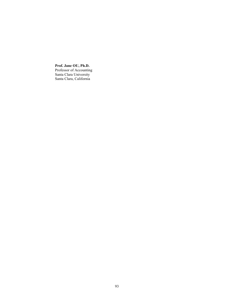**Prof. Jane OU, Ph.D.** Professor of Accounting Santa Clara University Santa Clara, California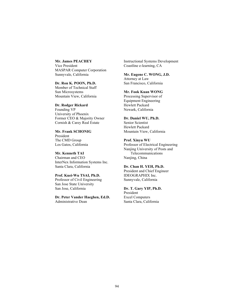#### **Mr. James PEACHEY** Vice President

MASPAR Computer Corporation Sunnyvale, California

**Dr. Ron K. POON, Ph.D.** Member of Technical Staff Sun Microsystems Mountain View, California

# **Dr. Rodger Rickard**

Founding VP University of Phoenix Former CEO & Majority Owner Cornish & Carey Real Estate

**Mr. Frank SCHONIG** President The CMD Group Los Gatos, California

**Mr. Kenneth TAI** Chairman and CEO InterNex Information Systems Inc. Santa Clara, California

## **Prof. Kuei-Wu TSAI, Ph.D.**

Professor of Civil Engineering San Jose State University San Jose, California

**Dr. Peter Vander Haeghen, Ed.D.** Administrative Dean

Instructional Systems Development Coastline e-learning, CA

# **Mr. Eugene C. WONG, J.D.**

Attorney at Law San Francisco, California

# **Mr. Fook Kuan WONG**

Processing Supervisor of Equipment Engineering Hewlett Packard Newark, California

# **Dr. Daniel WU, Ph.D.**

Senior Scientist Hewlett Packard Mountain View, California

# **Prof. Xinyu WU**

Professor of Electrical Engineering Nanjing University of Posts and Telecommunications Nanjing, China

# **Dr. Chan H. YEH, Ph.D.**

President and Chief Engineer IDEOGRAPHIX Inc. Sunnyvale, California

#### **Dr. T. Gary YIP, Ph.D.**

President Excel Computers Santa Clara, California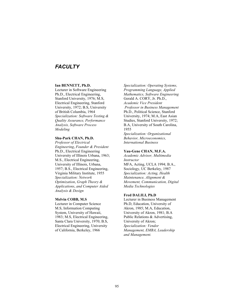# *FACULTY*

# **Ian BENNETT, Ph.D.**

Lecturer in Software Engineering Ph.D., Electrical Engineering, Stanford University, 1976; M.S, Electrical Engineering, Stanford University, 1972; B.S, University of British Columbia, 1964 *Specialization: Software Testing & Quality Assurance, Performance Analysis, Software Process Modeling*

# **Shu-Park CHAN, Ph.D.**

*Professor of Electrical Engineering*, *Founder & President* Ph.D., Electrical Engineering University of Illinois Urbana, 1963; M.S., Electrical Engineering, University of Illinois, Urbana, 1957; B.S., Electrical Engineering, Virginia Military Institute, 1955 *Specialization: Network Optimization*, *Graph Theory & Applications*, *and Computer Aided Analysis & Design*

### **Melvin COBB, M.S**

Lecturer in Computer Science M.S, Information Computing System, University of Hawaii, 1983; M.S, Electrical Engineering, Santa Clara University, 1970; B.S, Electrical Engineering, University of California, Berkeley, 1966

*Specialization: Operating Systems, Programming Language, Applied Mathematics, Software Engineering* Gerald A. CORY, Jr. Ph.D., *Academic Vice President Professor in Business Management* Ph.D., Political Science, Stanford University, 1974; M.A, East Asian Studies, Stanford University, 1972; B.A, University of South Carolina, 1955

*Specialization: Organizational Behavior, Microeconomics, International Business*

#### **Yau-Gene CHAN, M.F.A.**

*Academic Advisor, Multimedia Instructor*  MFA, Acting, UCLA 1994; B.A., Sociology, UC Berkeley, 1987 *Specialization: Acting, Health Maintenance, Alignment & Movement, Communication, Digital Media Technologies*

#### **Fred DALILI, Ph.D**

Lecturer in Business Management Ph.D, Education, University of Akron, 1985; M.A, Education, University of Akron, 1981; B.A Public Relations & Advertising, University of Akron; *Specialization: Vendor Management, EMBA, Leadership and Management.*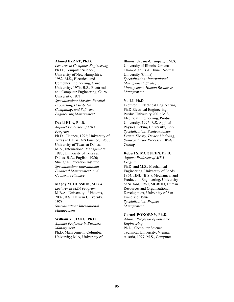#### **Ahmed EZZAT, Ph.D.**

*Lecturer in Computer Engineering* Ph.D., Computer Science, University of New Hampshire, 1982; M.S., Electrical and Computer Engineering, Cairo University, 1976; B.S., Electrical and Computer Engineering, Cairo University, 1971 *Specialization: Massive Parallel Processing*, *Distributed Computing*, *and Software Engineering Management*

#### **David HUA, Ph.D.**

*Adjunct Professor of MBA Program* Ph.D., Finance, 1992; University of Texas at Dallas, MS Finance, 1988; University of Texas at Dallas, M.A., International Management, 1985; University of Texas at Dallas, B.A., English, 1980; Shanghai Education Institute *Specialization: International Financial Management, and Cooperate Finance*

#### **Magdy M. HUSSEIN, M.B.A.**

*Lecturer in MBA Program* M.B.A., University of Phoenix, 2002; B.S., Helwan University, 1978 *Specialization: International* 

*Management*

#### **William Y. JIANG Ph.D**

*Adjunct Professor in Business Management* Ph.D, Management, Columbia University; M.A, University of

Illinois, Urbana-Champaign; M.S, University of Illinois, Urbana-Champaign; B.A, Hunan Normal University (China) *Specialization: International Management, Strategic Management, Human Resources Management*

# **Yu LI, Ph.D**

Lecturer in Electrical Engineering Ph.D Electrical Engineering, Purdue University 2001; M.S, Electrical Engineering, Purdue University, 1996; B.S, Applied Physics, Peking University, 1992 *Specialization: Semiconductor Device Theory, Device Modeling, Semiconductor Processes, Wafer Testing*

#### **Robert S. MCQUEEN, Ph.D.**

*Adjunct Professor of MBA Program* Ph.D. and M.S., Mechanical Engineering, University of Leeds, 1964; HND (B.S.), Mechanical and Production Engineering, University of Salford, 1960; MGROD, Human Resources and Organizational Development, University of San Francisco, 1986 *Specialization: Project Management*

# **Cornel POKORNY, Ph.D.**

*Adjunct Professor of Software Engineering* Ph.D., Computer Science, Technical University, Vienna, Austria, 1977; M.S., Computer